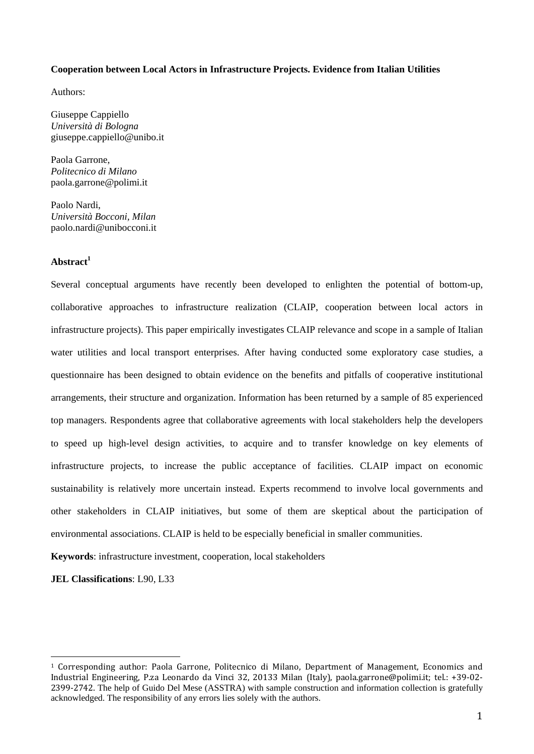#### **Cooperation between Local Actors in Infrastructure Projects. Evidence from Italian Utilities**

Authors:

Giuseppe Cappiello *Università di Bologna*  giuseppe.cappiello@unibo.it

Paola Garrone, *Politecnico di Milano*  paola.garrone@polimi.it

Paolo Nardi, *Università Bocconi, Milan*  paolo.nardi@unibocconi.it

# **Abstract<sup>1</sup>**

Several conceptual arguments have recently been developed to enlighten the potential of bottom-up, collaborative approaches to infrastructure realization (CLAIP, cooperation between local actors in infrastructure projects). This paper empirically investigates CLAIP relevance and scope in a sample of Italian water utilities and local transport enterprises. After having conducted some exploratory case studies, a questionnaire has been designed to obtain evidence on the benefits and pitfalls of cooperative institutional arrangements, their structure and organization. Information has been returned by a sample of 85 experienced top managers. Respondents agree that collaborative agreements with local stakeholders help the developers to speed up high-level design activities, to acquire and to transfer knowledge on key elements of infrastructure projects, to increase the public acceptance of facilities. CLAIP impact on economic sustainability is relatively more uncertain instead. Experts recommend to involve local governments and other stakeholders in CLAIP initiatives, but some of them are skeptical about the participation of environmental associations. CLAIP is held to be especially beneficial in smaller communities.

**Keywords**: infrastructure investment, cooperation, local stakeholders

**JEL Classifications**: L90, L33

<sup>1</sup> Corresponding author: Paola Garrone, Politecnico di Milano, Department of Management, Economics and Industrial Engineering, P.za Leonardo da Vinci 32, 20133 Milan (Italy), paola.garrone@polimi.it; tel.: +39‐02‐ 2399-2742. The help of Guido Del Mese (ASSTRA) with sample construction and information collection is gratefully acknowledged. The responsibility of any errors lies solely with the authors.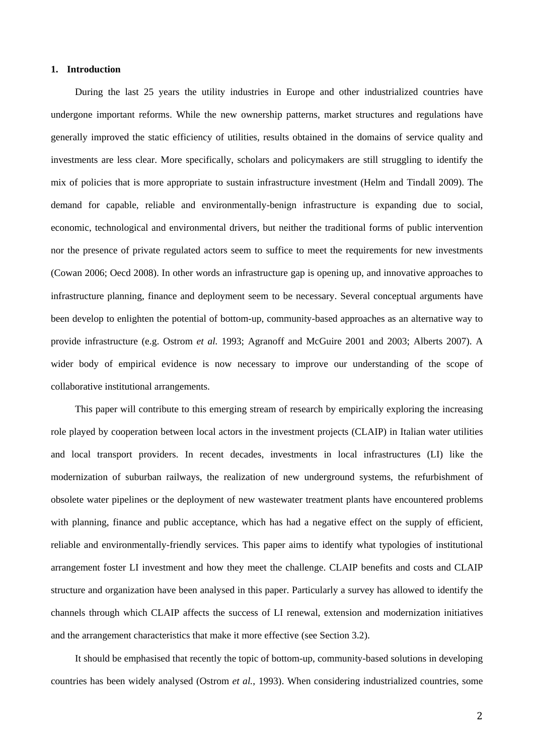# **1. Introduction**

During the last 25 years the utility industries in Europe and other industrialized countries have undergone important reforms. While the new ownership patterns, market structures and regulations have generally improved the static efficiency of utilities, results obtained in the domains of service quality and investments are less clear. More specifically, scholars and policymakers are still struggling to identify the mix of policies that is more appropriate to sustain infrastructure investment (Helm and Tindall 2009). The demand for capable, reliable and environmentally-benign infrastructure is expanding due to social, economic, technological and environmental drivers, but neither the traditional forms of public intervention nor the presence of private regulated actors seem to suffice to meet the requirements for new investments (Cowan 2006; Oecd 2008). In other words an infrastructure gap is opening up, and innovative approaches to infrastructure planning, finance and deployment seem to be necessary. Several conceptual arguments have been develop to enlighten the potential of bottom-up, community-based approaches as an alternative way to provide infrastructure (e.g. Ostrom *et al.* 1993; Agranoff and McGuire 2001 and 2003; Alberts 2007). A wider body of empirical evidence is now necessary to improve our understanding of the scope of collaborative institutional arrangements.

This paper will contribute to this emerging stream of research by empirically exploring the increasing role played by cooperation between local actors in the investment projects (CLAIP) in Italian water utilities and local transport providers. In recent decades, investments in local infrastructures (LI) like the modernization of suburban railways, the realization of new underground systems, the refurbishment of obsolete water pipelines or the deployment of new wastewater treatment plants have encountered problems with planning, finance and public acceptance, which has had a negative effect on the supply of efficient, reliable and environmentally-friendly services. This paper aims to identify what typologies of institutional arrangement foster LI investment and how they meet the challenge. CLAIP benefits and costs and CLAIP structure and organization have been analysed in this paper. Particularly a survey has allowed to identify the channels through which CLAIP affects the success of LI renewal, extension and modernization initiatives and the arrangement characteristics that make it more effective (see Section 3.2).

It should be emphasised that recently the topic of bottom-up, community-based solutions in developing countries has been widely analysed (Ostrom *et al.*, 1993). When considering industrialized countries, some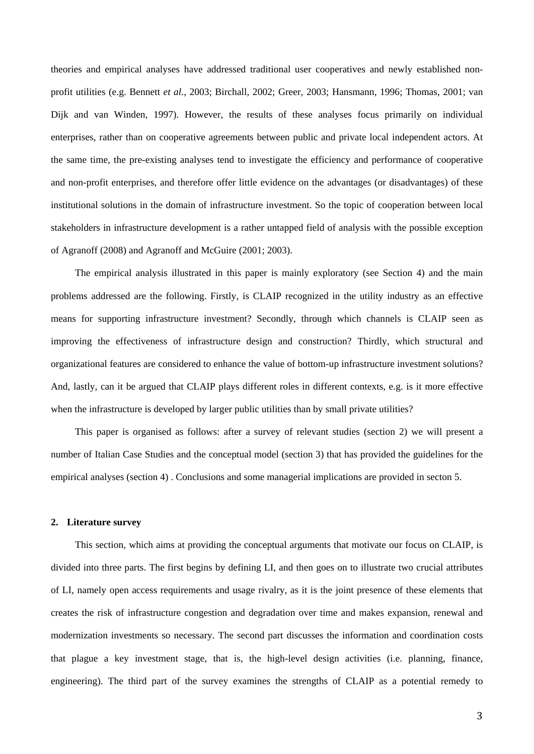theories and empirical analyses have addressed traditional user cooperatives and newly established nonprofit utilities (e.g. Bennett *et al.*, 2003; Birchall, 2002; Greer, 2003; Hansmann, 1996; Thomas, 2001; van Dijk and van Winden, 1997). However, the results of these analyses focus primarily on individual enterprises, rather than on cooperative agreements between public and private local independent actors. At the same time, the pre-existing analyses tend to investigate the efficiency and performance of cooperative and non-profit enterprises, and therefore offer little evidence on the advantages (or disadvantages) of these institutional solutions in the domain of infrastructure investment. So the topic of cooperation between local stakeholders in infrastructure development is a rather untapped field of analysis with the possible exception of Agranoff (2008) and Agranoff and McGuire (2001; 2003).

The empirical analysis illustrated in this paper is mainly exploratory (see Section 4) and the main problems addressed are the following. Firstly, is CLAIP recognized in the utility industry as an effective means for supporting infrastructure investment? Secondly, through which channels is CLAIP seen as improving the effectiveness of infrastructure design and construction? Thirdly, which structural and organizational features are considered to enhance the value of bottom-up infrastructure investment solutions? And, lastly, can it be argued that CLAIP plays different roles in different contexts, e.g. is it more effective when the infrastructure is developed by larger public utilities than by small private utilities?

This paper is organised as follows: after a survey of relevant studies (section 2) we will present a number of Italian Case Studies and the conceptual model (section 3) that has provided the guidelines for the empirical analyses (section 4) . Conclusions and some managerial implications are provided in secton 5.

### **2. Literature survey**

This section, which aims at providing the conceptual arguments that motivate our focus on CLAIP, is divided into three parts. The first begins by defining LI, and then goes on to illustrate two crucial attributes of LI, namely open access requirements and usage rivalry, as it is the joint presence of these elements that creates the risk of infrastructure congestion and degradation over time and makes expansion, renewal and modernization investments so necessary. The second part discusses the information and coordination costs that plague a key investment stage, that is, the high-level design activities (i.e. planning, finance, engineering). The third part of the survey examines the strengths of CLAIP as a potential remedy to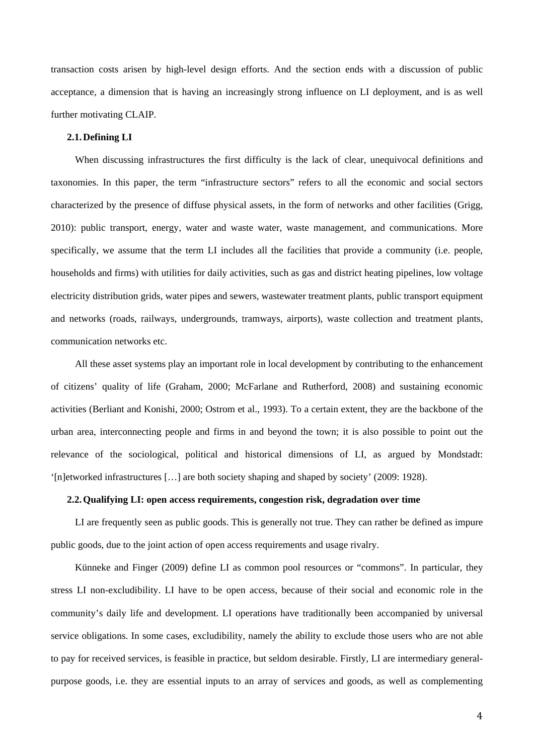transaction costs arisen by high-level design efforts. And the section ends with a discussion of public acceptance, a dimension that is having an increasingly strong influence on LI deployment, and is as well further motivating CLAIP.

## **2.1.Defining LI**

When discussing infrastructures the first difficulty is the lack of clear, unequivocal definitions and taxonomies. In this paper, the term "infrastructure sectors" refers to all the economic and social sectors characterized by the presence of diffuse physical assets, in the form of networks and other facilities (Grigg, 2010): public transport, energy, water and waste water, waste management, and communications. More specifically, we assume that the term LI includes all the facilities that provide a community (i.e. people, households and firms) with utilities for daily activities, such as gas and district heating pipelines, low voltage electricity distribution grids, water pipes and sewers, wastewater treatment plants, public transport equipment and networks (roads, railways, undergrounds, tramways, airports), waste collection and treatment plants, communication networks etc.

All these asset systems play an important role in local development by contributing to the enhancement of citizens' quality of life (Graham, 2000; McFarlane and Rutherford, 2008) and sustaining economic activities (Berliant and Konishi, 2000; Ostrom et al., 1993). To a certain extent, they are the backbone of the urban area, interconnecting people and firms in and beyond the town; it is also possible to point out the relevance of the sociological, political and historical dimensions of LI, as argued by Mondstadt: '[n]etworked infrastructures […] are both society shaping and shaped by society' (2009: 1928).

### **2.2.Qualifying LI: open access requirements, congestion risk, degradation over time**

LI are frequently seen as public goods. This is generally not true. They can rather be defined as impure public goods, due to the joint action of open access requirements and usage rivalry.

Künneke and Finger (2009) define LI as common pool resources or "commons". In particular, they stress LI non-excludibility. LI have to be open access, because of their social and economic role in the community's daily life and development. LI operations have traditionally been accompanied by universal service obligations. In some cases, excludibility, namely the ability to exclude those users who are not able to pay for received services, is feasible in practice, but seldom desirable. Firstly, LI are intermediary generalpurpose goods, i.e. they are essential inputs to an array of services and goods, as well as complementing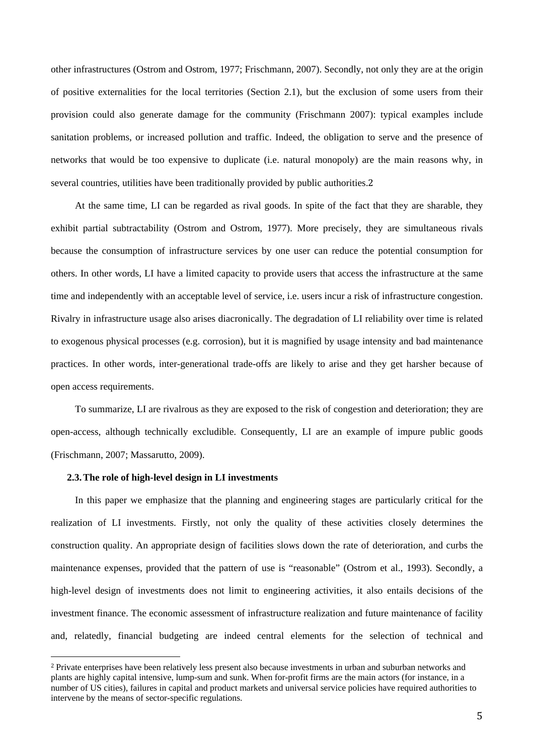other infrastructures (Ostrom and Ostrom, 1977; Frischmann, 2007). Secondly, not only they are at the origin of positive externalities for the local territories (Section 2.1), but the exclusion of some users from their provision could also generate damage for the community (Frischmann 2007): typical examples include sanitation problems, or increased pollution and traffic. Indeed, the obligation to serve and the presence of networks that would be too expensive to duplicate (i.e. natural monopoly) are the main reasons why, in several countries, utilities have been traditionally provided by public authorities.2

At the same time, LI can be regarded as rival goods. In spite of the fact that they are sharable, they exhibit partial subtractability (Ostrom and Ostrom, 1977). More precisely, they are simultaneous rivals because the consumption of infrastructure services by one user can reduce the potential consumption for others. In other words, LI have a limited capacity to provide users that access the infrastructure at the same time and independently with an acceptable level of service, i.e. users incur a risk of infrastructure congestion. Rivalry in infrastructure usage also arises diacronically. The degradation of LI reliability over time is related to exogenous physical processes (e.g. corrosion), but it is magnified by usage intensity and bad maintenance practices. In other words, inter-generational trade-offs are likely to arise and they get harsher because of open access requirements.

To summarize, LI are rivalrous as they are exposed to the risk of congestion and deterioration; they are open-access, although technically excludible. Consequently, LI are an example of impure public goods (Frischmann, 2007; Massarutto, 2009).

#### **2.3.The role of high-level design in LI investments**

In this paper we emphasize that the planning and engineering stages are particularly critical for the realization of LI investments. Firstly, not only the quality of these activities closely determines the construction quality. An appropriate design of facilities slows down the rate of deterioration, and curbs the maintenance expenses, provided that the pattern of use is "reasonable" (Ostrom et al., 1993). Secondly, a high-level design of investments does not limit to engineering activities, it also entails decisions of the investment finance. The economic assessment of infrastructure realization and future maintenance of facility and, relatedly, financial budgeting are indeed central elements for the selection of technical and

<sup>2</sup> Private enterprises have been relatively less present also because investments in urban and suburban networks and plants are highly capital intensive, lump-sum and sunk. When for-profit firms are the main actors (for instance, in a number of US cities), failures in capital and product markets and universal service policies have required authorities to intervene by the means of sector-specific regulations.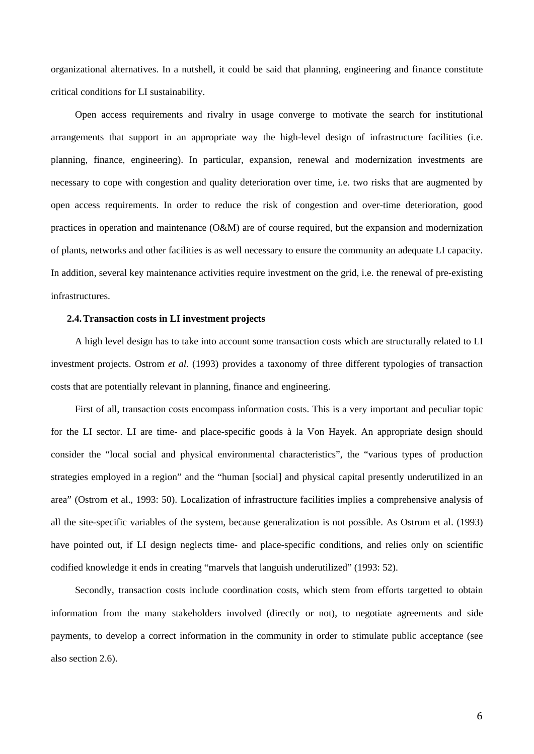organizational alternatives. In a nutshell, it could be said that planning, engineering and finance constitute critical conditions for LI sustainability.

Open access requirements and rivalry in usage converge to motivate the search for institutional arrangements that support in an appropriate way the high-level design of infrastructure facilities (i.e. planning, finance, engineering). In particular, expansion, renewal and modernization investments are necessary to cope with congestion and quality deterioration over time, i.e. two risks that are augmented by open access requirements. In order to reduce the risk of congestion and over-time deterioration, good practices in operation and maintenance (O&M) are of course required, but the expansion and modernization of plants, networks and other facilities is as well necessary to ensure the community an adequate LI capacity. In addition, several key maintenance activities require investment on the grid, i.e. the renewal of pre-existing infrastructures.

## **2.4.Transaction costs in LI investment projects**

A high level design has to take into account some transaction costs which are structurally related to LI investment projects. Ostrom *et al.* (1993) provides a taxonomy of three different typologies of transaction costs that are potentially relevant in planning, finance and engineering.

First of all, transaction costs encompass information costs. This is a very important and peculiar topic for the LI sector. LI are time- and place-specific goods à la Von Hayek. An appropriate design should consider the "local social and physical environmental characteristics", the "various types of production strategies employed in a region" and the "human [social] and physical capital presently underutilized in an area" (Ostrom et al., 1993: 50). Localization of infrastructure facilities implies a comprehensive analysis of all the site-specific variables of the system, because generalization is not possible. As Ostrom et al. (1993) have pointed out, if LI design neglects time- and place-specific conditions, and relies only on scientific codified knowledge it ends in creating "marvels that languish underutilized" (1993: 52).

Secondly, transaction costs include coordination costs, which stem from efforts targetted to obtain information from the many stakeholders involved (directly or not), to negotiate agreements and side payments, to develop a correct information in the community in order to stimulate public acceptance (see also section 2.6).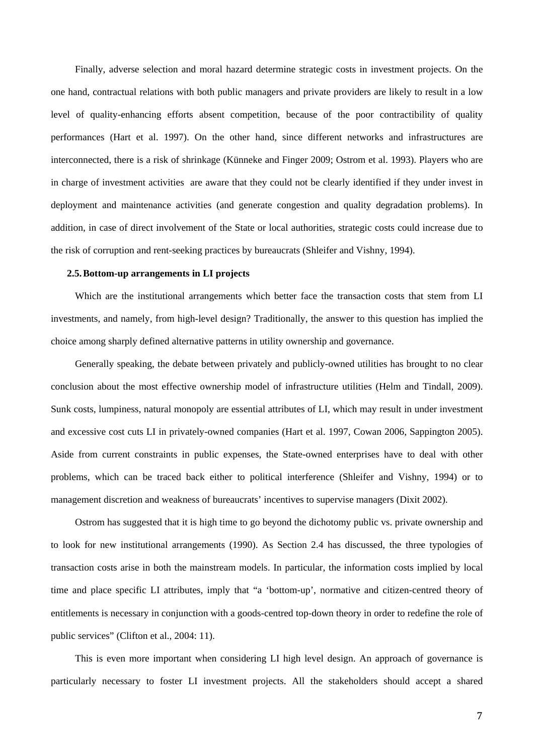Finally, adverse selection and moral hazard determine strategic costs in investment projects. On the one hand, contractual relations with both public managers and private providers are likely to result in a low level of quality-enhancing efforts absent competition, because of the poor contractibility of quality performances (Hart et al. 1997). On the other hand, since different networks and infrastructures are interconnected, there is a risk of shrinkage (Künneke and Finger 2009; Ostrom et al. 1993). Players who are in charge of investment activities are aware that they could not be clearly identified if they under invest in deployment and maintenance activities (and generate congestion and quality degradation problems). In addition, in case of direct involvement of the State or local authorities, strategic costs could increase due to the risk of corruption and rent-seeking practices by bureaucrats (Shleifer and Vishny, 1994).

## **2.5.Bottom-up arrangements in LI projects**

Which are the institutional arrangements which better face the transaction costs that stem from LI investments, and namely, from high-level design? Traditionally, the answer to this question has implied the choice among sharply defined alternative patterns in utility ownership and governance.

Generally speaking, the debate between privately and publicly-owned utilities has brought to no clear conclusion about the most effective ownership model of infrastructure utilities (Helm and Tindall, 2009). Sunk costs, lumpiness, natural monopoly are essential attributes of LI, which may result in under investment and excessive cost cuts LI in privately-owned companies (Hart et al. 1997, Cowan 2006, Sappington 2005). Aside from current constraints in public expenses, the State-owned enterprises have to deal with other problems, which can be traced back either to political interference (Shleifer and Vishny, 1994) or to management discretion and weakness of bureaucrats' incentives to supervise managers (Dixit 2002).

Ostrom has suggested that it is high time to go beyond the dichotomy public vs. private ownership and to look for new institutional arrangements (1990). As Section 2.4 has discussed, the three typologies of transaction costs arise in both the mainstream models. In particular, the information costs implied by local time and place specific LI attributes, imply that "a 'bottom-up', normative and citizen-centred theory of entitlements is necessary in conjunction with a goods-centred top-down theory in order to redefine the role of public services" (Clifton et al., 2004: 11).

This is even more important when considering LI high level design. An approach of governance is particularly necessary to foster LI investment projects. All the stakeholders should accept a shared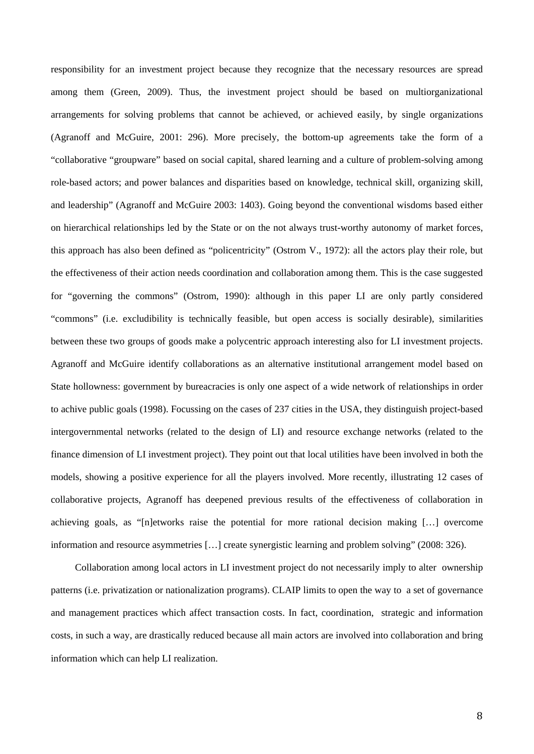responsibility for an investment project because they recognize that the necessary resources are spread among them (Green, 2009). Thus, the investment project should be based on multiorganizational arrangements for solving problems that cannot be achieved, or achieved easily, by single organizations (Agranoff and McGuire, 2001: 296). More precisely, the bottom-up agreements take the form of a "collaborative "groupware" based on social capital, shared learning and a culture of problem-solving among role-based actors; and power balances and disparities based on knowledge, technical skill, organizing skill, and leadership" (Agranoff and McGuire 2003: 1403). Going beyond the conventional wisdoms based either on hierarchical relationships led by the State or on the not always trust-worthy autonomy of market forces, this approach has also been defined as "policentricity" (Ostrom V., 1972): all the actors play their role, but the effectiveness of their action needs coordination and collaboration among them. This is the case suggested for "governing the commons" (Ostrom, 1990): although in this paper LI are only partly considered "commons" (i.e. excludibility is technically feasible, but open access is socially desirable), similarities between these two groups of goods make a polycentric approach interesting also for LI investment projects. Agranoff and McGuire identify collaborations as an alternative institutional arrangement model based on State hollowness: government by bureacracies is only one aspect of a wide network of relationships in order to achive public goals (1998). Focussing on the cases of 237 cities in the USA, they distinguish project-based intergovernmental networks (related to the design of LI) and resource exchange networks (related to the finance dimension of LI investment project). They point out that local utilities have been involved in both the models, showing a positive experience for all the players involved. More recently, illustrating 12 cases of collaborative projects, Agranoff has deepened previous results of the effectiveness of collaboration in achieving goals, as "[n]etworks raise the potential for more rational decision making […] overcome information and resource asymmetries […] create synergistic learning and problem solving" (2008: 326).

Collaboration among local actors in LI investment project do not necessarily imply to alter ownership patterns (i.e. privatization or nationalization programs). CLAIP limits to open the way to a set of governance and management practices which affect transaction costs. In fact, coordination, strategic and information costs, in such a way, are drastically reduced because all main actors are involved into collaboration and bring information which can help LI realization.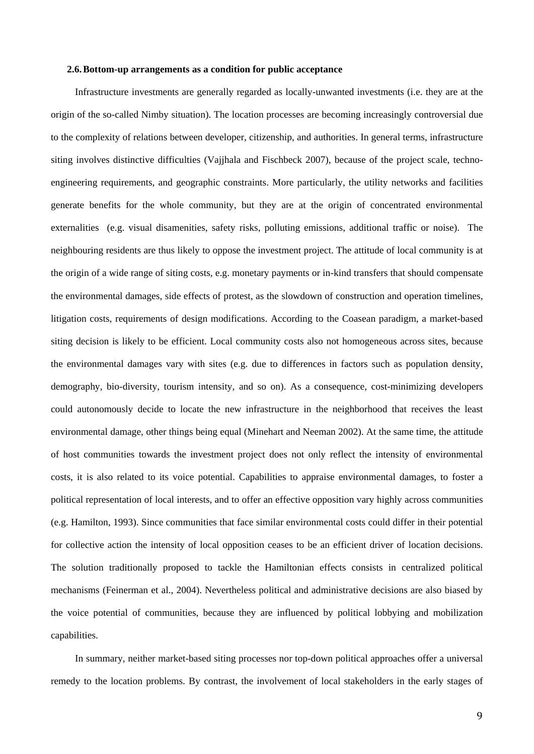#### **2.6.Bottom-up arrangements as a condition for public acceptance**

Infrastructure investments are generally regarded as locally-unwanted investments (i.e. they are at the origin of the so-called Nimby situation). The location processes are becoming increasingly controversial due to the complexity of relations between developer, citizenship, and authorities. In general terms, infrastructure siting involves distinctive difficulties (Vajjhala and Fischbeck 2007), because of the project scale, technoengineering requirements, and geographic constraints. More particularly, the utility networks and facilities generate benefits for the whole community, but they are at the origin of concentrated environmental externalities (e.g. visual disamenities, safety risks, polluting emissions, additional traffic or noise). The neighbouring residents are thus likely to oppose the investment project. The attitude of local community is at the origin of a wide range of siting costs, e.g. monetary payments or in-kind transfers that should compensate the environmental damages, side effects of protest, as the slowdown of construction and operation timelines, litigation costs, requirements of design modifications. According to the Coasean paradigm, a market-based siting decision is likely to be efficient. Local community costs also not homogeneous across sites, because the environmental damages vary with sites (e.g. due to differences in factors such as population density, demography, bio-diversity, tourism intensity, and so on). As a consequence, cost-minimizing developers could autonomously decide to locate the new infrastructure in the neighborhood that receives the least environmental damage, other things being equal (Minehart and Neeman 2002). At the same time, the attitude of host communities towards the investment project does not only reflect the intensity of environmental costs, it is also related to its voice potential. Capabilities to appraise environmental damages, to foster a political representation of local interests, and to offer an effective opposition vary highly across communities (e.g. Hamilton, 1993). Since communities that face similar environmental costs could differ in their potential for collective action the intensity of local opposition ceases to be an efficient driver of location decisions. The solution traditionally proposed to tackle the Hamiltonian effects consists in centralized political mechanisms (Feinerman et al., 2004). Nevertheless political and administrative decisions are also biased by the voice potential of communities, because they are influenced by political lobbying and mobilization capabilities.

In summary, neither market-based siting processes nor top-down political approaches offer a universal remedy to the location problems. By contrast, the involvement of local stakeholders in the early stages of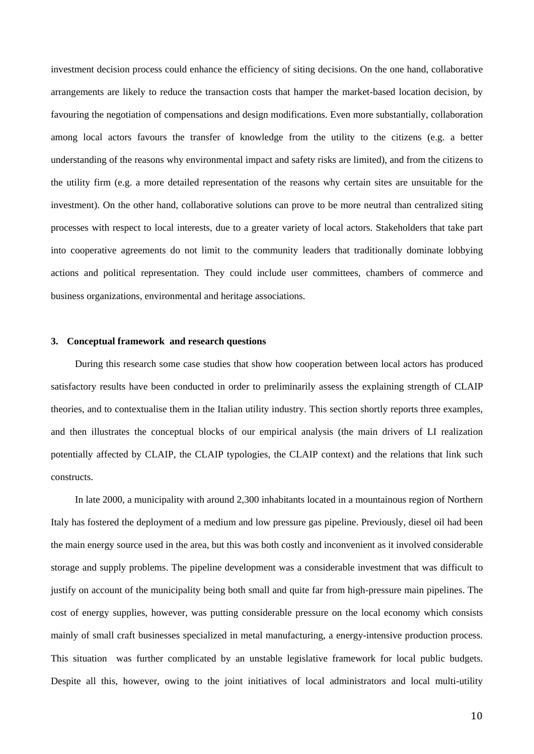investment decision process could enhance the efficiency of siting decisions. On the one hand, collaborative arrangements are likely to reduce the transaction costs that hamper the market-based location decision, by favouring the negotiation of compensations and design modifications. Even more substantially, collaboration among local actors favours the transfer of knowledge from the utility to the citizens (e.g. a better understanding of the reasons why environmental impact and safety risks are limited), and from the citizens to the utility firm (e.g. a more detailed representation of the reasons why certain sites are unsuitable for the investment). On the other hand, collaborative solutions can prove to be more neutral than centralized siting processes with respect to local interests, due to a greater variety of local actors. Stakeholders that take part into cooperative agreements do not limit to the community leaders that traditionally dominate lobbying actions and political representation. They could include user committees, chambers of commerce and business organizations, environmental and heritage associations.

### **3. Conceptual framework and research questions**

During this research some case studies that show how cooperation between local actors has produced satisfactory results have been conducted in order to preliminarily assess the explaining strength of CLAIP theories, and to contextualise them in the Italian utility industry. This section shortly reports three examples, and then illustrates the conceptual blocks of our empirical analysis (the main drivers of LI realization potentially affected by CLAIP, the CLAIP typologies, the CLAIP context) and the relations that link such constructs.

In late 2000, a municipality with around 2,300 inhabitants located in a mountainous region of Northern Italy has fostered the deployment of a medium and low pressure gas pipeline. Previously, diesel oil had been the main energy source used in the area, but this was both costly and inconvenient as it involved considerable storage and supply problems. The pipeline development was a considerable investment that was difficult to justify on account of the municipality being both small and quite far from high-pressure main pipelines. The cost of energy supplies, however, was putting considerable pressure on the local economy which consists mainly of small craft businesses specialized in metal manufacturing, a energy-intensive production process. This situation was further complicated by an unstable legislative framework for local public budgets. Despite all this, however, owing to the joint initiatives of local administrators and local multi-utility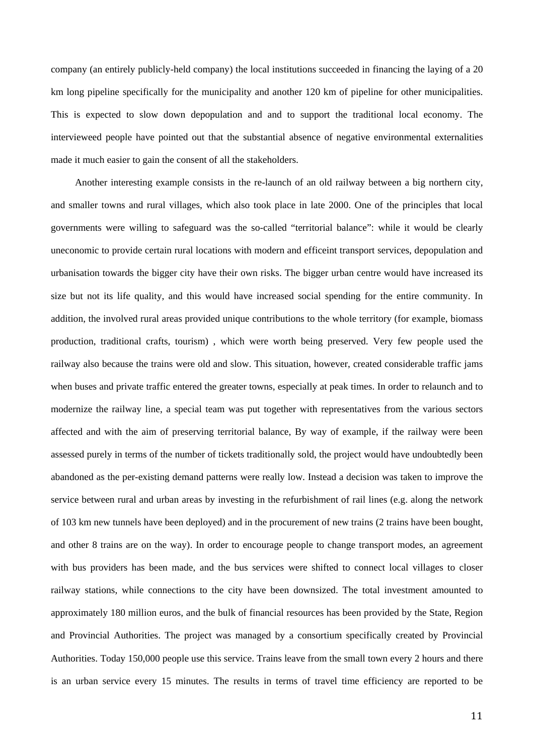company (an entirely publicly-held company) the local institutions succeeded in financing the laying of a 20 km long pipeline specifically for the municipality and another 120 km of pipeline for other municipalities. This is expected to slow down depopulation and and to support the traditional local economy. The intervieweed people have pointed out that the substantial absence of negative environmental externalities made it much easier to gain the consent of all the stakeholders.

Another interesting example consists in the re-launch of an old railway between a big northern city, and smaller towns and rural villages, which also took place in late 2000. One of the principles that local governments were willing to safeguard was the so-called "territorial balance": while it would be clearly uneconomic to provide certain rural locations with modern and efficeint transport services, depopulation and urbanisation towards the bigger city have their own risks. The bigger urban centre would have increased its size but not its life quality, and this would have increased social spending for the entire community. In addition, the involved rural areas provided unique contributions to the whole territory (for example, biomass production, traditional crafts, tourism) , which were worth being preserved. Very few people used the railway also because the trains were old and slow. This situation, however, created considerable traffic jams when buses and private traffic entered the greater towns, especially at peak times. In order to relaunch and to modernize the railway line, a special team was put together with representatives from the various sectors affected and with the aim of preserving territorial balance, By way of example, if the railway were been assessed purely in terms of the number of tickets traditionally sold, the project would have undoubtedly been abandoned as the per-existing demand patterns were really low. Instead a decision was taken to improve the service between rural and urban areas by investing in the refurbishment of rail lines (e.g. along the network of 103 km new tunnels have been deployed) and in the procurement of new trains (2 trains have been bought, and other 8 trains are on the way). In order to encourage people to change transport modes, an agreement with bus providers has been made, and the bus services were shifted to connect local villages to closer railway stations, while connections to the city have been downsized. The total investment amounted to approximately 180 million euros, and the bulk of financial resources has been provided by the State, Region and Provincial Authorities. The project was managed by a consortium specifically created by Provincial Authorities. Today 150,000 people use this service. Trains leave from the small town every 2 hours and there is an urban service every 15 minutes. The results in terms of travel time efficiency are reported to be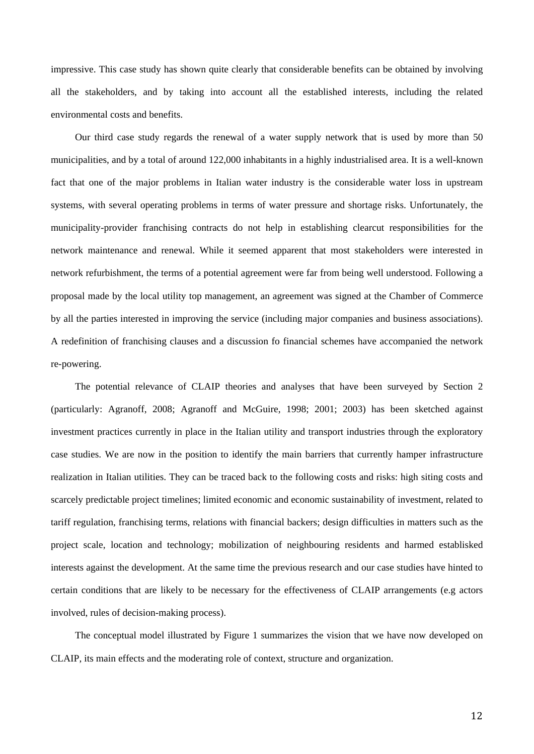impressive. This case study has shown quite clearly that considerable benefits can be obtained by involving all the stakeholders, and by taking into account all the established interests, including the related environmental costs and benefits.

Our third case study regards the renewal of a water supply network that is used by more than 50 municipalities, and by a total of around 122,000 inhabitants in a highly industrialised area. It is a well-known fact that one of the major problems in Italian water industry is the considerable water loss in upstream systems, with several operating problems in terms of water pressure and shortage risks. Unfortunately, the municipality-provider franchising contracts do not help in establishing clearcut responsibilities for the network maintenance and renewal. While it seemed apparent that most stakeholders were interested in network refurbishment, the terms of a potential agreement were far from being well understood. Following a proposal made by the local utility top management, an agreement was signed at the Chamber of Commerce by all the parties interested in improving the service (including major companies and business associations). A redefinition of franchising clauses and a discussion fo financial schemes have accompanied the network re-powering.

The potential relevance of CLAIP theories and analyses that have been surveyed by Section 2 (particularly: Agranoff, 2008; Agranoff and McGuire, 1998; 2001; 2003) has been sketched against investment practices currently in place in the Italian utility and transport industries through the exploratory case studies. We are now in the position to identify the main barriers that currently hamper infrastructure realization in Italian utilities. They can be traced back to the following costs and risks: high siting costs and scarcely predictable project timelines; limited economic and economic sustainability of investment, related to tariff regulation, franchising terms, relations with financial backers; design difficulties in matters such as the project scale, location and technology; mobilization of neighbouring residents and harmed establisked interests against the development. At the same time the previous research and our case studies have hinted to certain conditions that are likely to be necessary for the effectiveness of CLAIP arrangements (e.g actors involved, rules of decision-making process).

The conceptual model illustrated by Figure 1 summarizes the vision that we have now developed on CLAIP, its main effects and the moderating role of context, structure and organization.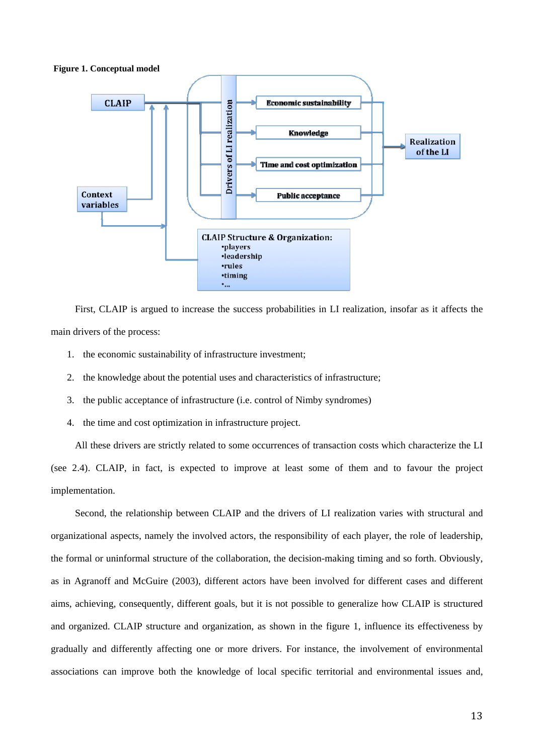**Figure 1. Conceptual model** 



First, CLAIP is argued to increase the success probabilities in LI realization, insofar as it affects the main drivers of the process:

- 1. the economic sustainability of infrastructure investment;
- 2. the knowledge about the potential uses and characteristics of infrastructure;
- 3. the public acceptance of infrastructure (i.e. control of Nimby syndromes)
- 4. the time and cost optimization in infrastructure project.

All these drivers are strictly related to some occurrences of transaction costs which characterize the LI (see 2.4). CLAIP, in fact, is expected to improve at least some of them and to favour the project implementation.

Second, the relationship between CLAIP and the drivers of LI realization varies with structural and organizational aspects, namely the involved actors, the responsibility of each player, the role of leadership, the formal or uninformal structure of the collaboration, the decision-making timing and so forth. Obviously, as in Agranoff and McGuire (2003), different actors have been involved for different cases and different aims, achieving, consequently, different goals, but it is not possible to generalize how CLAIP is structured and organized. CLAIP structure and organization, as shown in the figure 1, influence its effectiveness by gradually and differently affecting one or more drivers. For instance, the involvement of environmental associations can improve both the knowledge of local specific territorial and environmental issues and,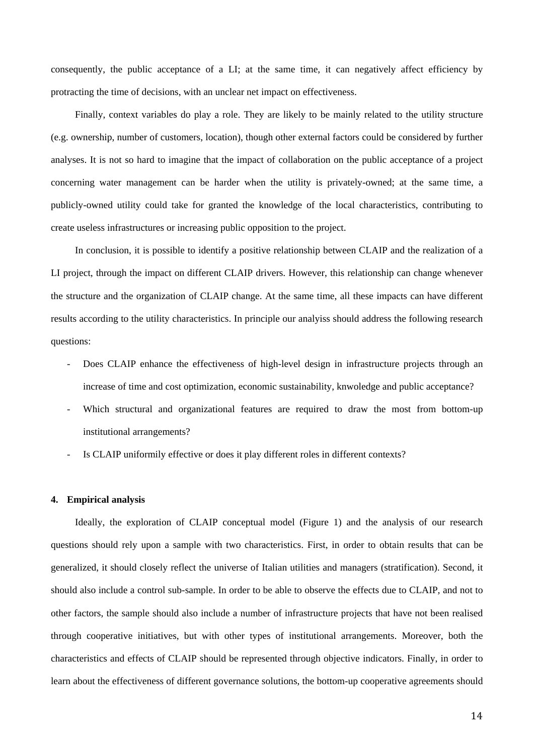consequently, the public acceptance of a LI; at the same time, it can negatively affect efficiency by protracting the time of decisions, with an unclear net impact on effectiveness.

Finally, context variables do play a role. They are likely to be mainly related to the utility structure (e.g. ownership, number of customers, location), though other external factors could be considered by further analyses. It is not so hard to imagine that the impact of collaboration on the public acceptance of a project concerning water management can be harder when the utility is privately-owned; at the same time, a publicly-owned utility could take for granted the knowledge of the local characteristics, contributing to create useless infrastructures or increasing public opposition to the project.

In conclusion, it is possible to identify a positive relationship between CLAIP and the realization of a LI project, through the impact on different CLAIP drivers. However, this relationship can change whenever the structure and the organization of CLAIP change. At the same time, all these impacts can have different results according to the utility characteristics. In principle our analyiss should address the following research questions:

- Does CLAIP enhance the effectiveness of high-level design in infrastructure projects through an increase of time and cost optimization, economic sustainability, knwoledge and public acceptance?
- Which structural and organizational features are required to draw the most from bottom-up institutional arrangements?
- Is CLAIP uniformily effective or does it play different roles in different contexts?

#### **4. Empirical analysis**

Ideally, the exploration of CLAIP conceptual model (Figure 1) and the analysis of our research questions should rely upon a sample with two characteristics. First, in order to obtain results that can be generalized, it should closely reflect the universe of Italian utilities and managers (stratification). Second, it should also include a control sub-sample. In order to be able to observe the effects due to CLAIP*,* and not to other factors, the sample should also include a number of infrastructure projects that have not been realised through cooperative initiatives, but with other types of institutional arrangements. Moreover, both the characteristics and effects of CLAIP should be represented through objective indicators. Finally, in order to learn about the effectiveness of different governance solutions, the bottom-up cooperative agreements should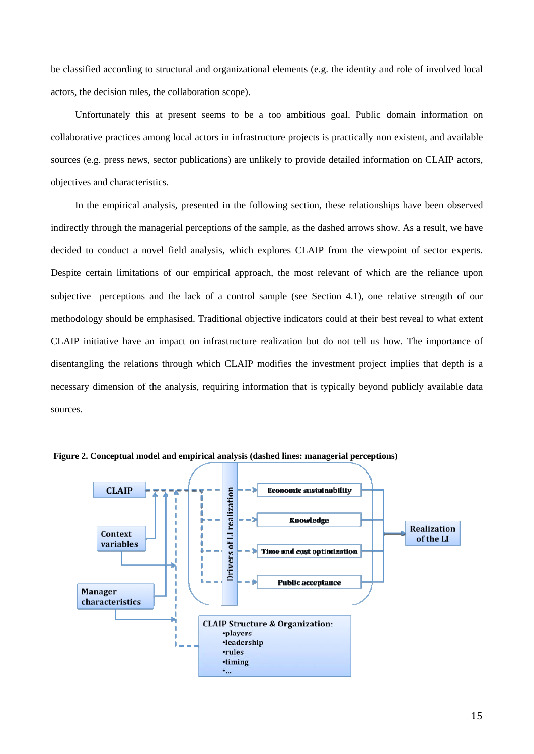be classified according to structural and organizational elements (e.g. the identity and role of involved local actors, the decision rules, the collaboration scope).

Unfortunately this at present seems to be a too ambitious goal. Public domain information on collaborative practices among local actors in infrastructure projects is practically non existent, and available sources (e.g. press news, sector publications) are unlikely to provide detailed information on CLAIP actors, objectives and characteristics.

In the empirical analysis, presented in the following section, these relationships have been observed indirectly through the managerial perceptions of the sample, as the dashed arrows show. As a result, we have decided to conduct a novel field analysis, which explores CLAIP from the viewpoint of sector experts. Despite certain limitations of our empirical approach, the most relevant of which are the reliance upon subjective perceptions and the lack of a control sample (see Section 4.1), one relative strength of our methodology should be emphasised. Traditional objective indicators could at their best reveal to what extent CLAIP initiative have an impact on infrastructure realization but do not tell us how. The importance of disentangling the relations through which CLAIP modifies the investment project implies that depth is a necessary dimension of the analysis, requiring information that is typically beyond publicly available data sources.



**Figure 2. Conceptual model and empirical analysis (dashed lines: managerial perceptions)**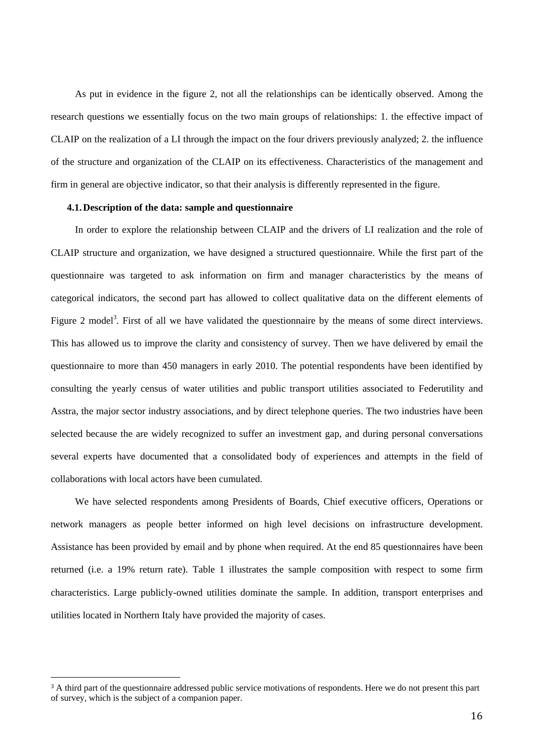As put in evidence in the figure 2, not all the relationships can be identically observed. Among the research questions we essentially focus on the two main groups of relationships: 1. the effective impact of CLAIP on the realization of a LI through the impact on the four drivers previously analyzed; 2. the influence of the structure and organization of the CLAIP on its effectiveness. Characteristics of the management and firm in general are objective indicator, so that their analysis is differently represented in the figure.

## **4.1.Description of the data: sample and questionnaire**

In order to explore the relationship between CLAIP and the drivers of LI realization and the role of CLAIP structure and organization, we have designed a structured questionnaire. While the first part of the questionnaire was targeted to ask information on firm and manager characteristics by the means of categorical indicators, the second part has allowed to collect qualitative data on the different elements of Figure 2 model<sup>3</sup>. First of all we have validated the questionnaire by the means of some direct interviews. This has allowed us to improve the clarity and consistency of survey. Then we have delivered by email the questionnaire to more than 450 managers in early 2010. The potential respondents have been identified by consulting the yearly census of water utilities and public transport utilities associated to Federutility and Asstra, the major sector industry associations, and by direct telephone queries. The two industries have been selected because the are widely recognized to suffer an investment gap, and during personal conversations several experts have documented that a consolidated body of experiences and attempts in the field of collaborations with local actors have been cumulated.

We have selected respondents among Presidents of Boards, Chief executive officers, Operations or network managers as people better informed on high level decisions on infrastructure development. Assistance has been provided by email and by phone when required. At the end 85 questionnaires have been returned (i.e. a 19% return rate). Table 1 illustrates the sample composition with respect to some firm characteristics. Large publicly-owned utilities dominate the sample. In addition, transport enterprises and utilities located in Northern Italy have provided the majority of cases.

<sup>&</sup>lt;sup>3</sup> A third part of the questionnaire addressed public service motivations of respondents. Here we do not present this part of survey, which is the subject of a companion paper.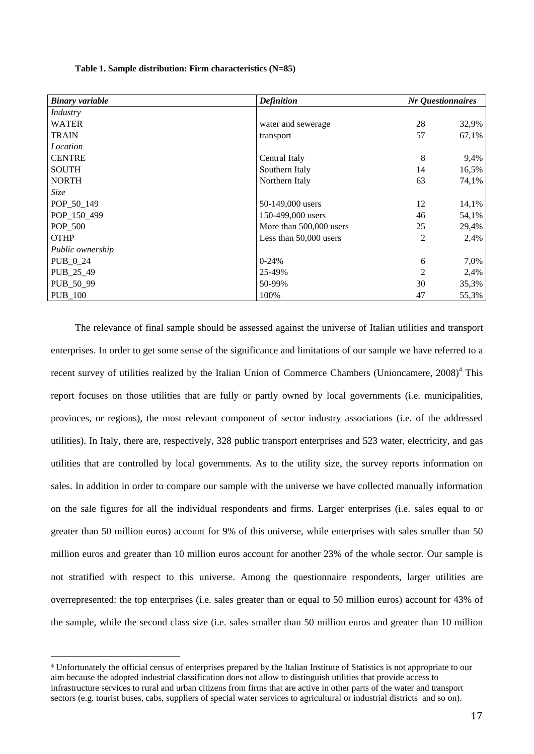| Table 1. Sample distribution: Firm characteristics (N=85) |  |
|-----------------------------------------------------------|--|
|-----------------------------------------------------------|--|

| <b>Binary variable</b> | <b>Definition</b>       | Nr Questionnaires |       |  |
|------------------------|-------------------------|-------------------|-------|--|
| Industry               |                         |                   |       |  |
| <b>WATER</b>           | water and sewerage      | 28                | 32,9% |  |
| <b>TRAIN</b>           | transport               | 57                | 67,1% |  |
| Location               |                         |                   |       |  |
| <b>CENTRE</b>          | Central Italy           | 8                 | 9,4%  |  |
| <b>SOUTH</b>           | Southern Italy          | 14                | 16,5% |  |
| <b>NORTH</b>           | Northern Italy          | 63                | 74,1% |  |
| Size                   |                         |                   |       |  |
| POP_50_149             | 50-149,000 users        | 12                | 14,1% |  |
| POP_150_499            | 150-499,000 users       | 46                | 54,1% |  |
| POP 500                | More than 500,000 users | 25                | 29,4% |  |
| <b>OTHP</b>            | Less than 50,000 users  | 2                 | 2,4%  |  |
| Public ownership       |                         |                   |       |  |
| PUB_0_24               | $0-24%$                 | 6                 | 7,0%  |  |
| PUB_25_49              | 25-49%                  | 2                 | 2,4%  |  |
| PUB_50_99              | 50-99%                  | 30                | 35,3% |  |
| <b>PUB_100</b>         | 100%                    | 47                | 55,3% |  |

The relevance of final sample should be assessed against the universe of Italian utilities and transport enterprises. In order to get some sense of the significance and limitations of our sample we have referred to a recent survey of utilities realized by the Italian Union of Commerce Chambers (Unioncamere, 2008)<sup>4</sup> This report focuses on those utilities that are fully or partly owned by local governments (i.e. municipalities, provinces, or regions), the most relevant component of sector industry associations (i.e. of the addressed utilities). In Italy, there are, respectively, 328 public transport enterprises and 523 water, electricity, and gas utilities that are controlled by local governments. As to the utility size, the survey reports information on sales. In addition in order to compare our sample with the universe we have collected manually information on the sale figures for all the individual respondents and firms. Larger enterprises (i.e. sales equal to or greater than 50 million euros) account for 9% of this universe, while enterprises with sales smaller than 50 million euros and greater than 10 million euros account for another 23% of the whole sector. Our sample is not stratified with respect to this universe. Among the questionnaire respondents, larger utilities are overrepresented: the top enterprises (i.e. sales greater than or equal to 50 million euros) account for 43% of the sample, while the second class size (i.e. sales smaller than 50 million euros and greater than 10 million

<sup>4</sup> Unfortunately the official census of enterprises prepared by the Italian Institute of Statistics is not appropriate to our aim because the adopted industrial classification does not allow to distinguish utilities that provide access to infrastructure services to rural and urban citizens from firms that are active in other parts of the water and transport sectors (e.g. tourist buses, cabs, suppliers of special water services to agricultural or industrial districts and so on).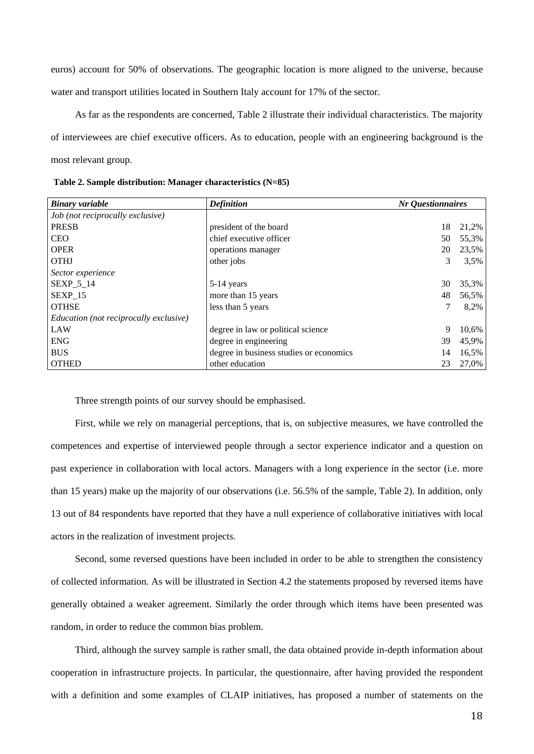euros) account for 50% of observations. The geographic location is more aligned to the universe, because water and transport utilities located in Southern Italy account for 17% of the sector.

As far as the respondents are concerned, Table 2 illustrate their individual characteristics. The majority of interviewees are chief executive officers. As to education, people with an engineering background is the most relevant group.

|  |  |  | Table 2. Sample distribution: Manager characteristics (N=85) |  |
|--|--|--|--------------------------------------------------------------|--|
|--|--|--|--------------------------------------------------------------|--|

| <b>Binary variable</b>                 | <b>Definition</b>                       |    | Nr Questionnaires |  |  |  |
|----------------------------------------|-----------------------------------------|----|-------------------|--|--|--|
| Job (not reciprocally exclusive)       |                                         |    |                   |  |  |  |
| <b>PRESB</b>                           | president of the board                  | 18 | 21,2%             |  |  |  |
| <b>CEO</b>                             | chief executive officer                 | 50 | 55,3%             |  |  |  |
| <b>OPER</b>                            | operations manager                      | 20 | 23,5%             |  |  |  |
| <b>OTHJ</b>                            | other jobs                              | 3  | 3,5%              |  |  |  |
| Sector experience                      |                                         |    |                   |  |  |  |
| SEXP_5_14                              | 5-14 years                              | 30 | 35,3%             |  |  |  |
| SEXP 15                                | more than 15 years                      | 48 | 56,5%             |  |  |  |
| <b>OTHSE</b>                           | less than 5 years                       |    | 8,2%              |  |  |  |
| Education (not reciprocally exclusive) |                                         |    |                   |  |  |  |
| LAW                                    | degree in law or political science      | 9  | 10,6%             |  |  |  |
| <b>ENG</b>                             | degree in engineering                   | 39 | 45,9%             |  |  |  |
| <b>BUS</b>                             | degree in business studies or economics | 14 | 16,5%             |  |  |  |
| <b>OTHED</b>                           | other education                         | 23 | 27,0%             |  |  |  |

Three strength points of our survey should be emphasised.

First, while we rely on managerial perceptions, that is, on subjective measures, we have controlled the competences and expertise of interviewed people through a sector experience indicator and a question on past experience in collaboration with local actors. Managers with a long experience in the sector (i.e. more than 15 years) make up the majority of our observations (i.e. 56.5% of the sample, Table 2). In addition, only 13 out of 84 respondents have reported that they have a null experience of collaborative initiatives with local actors in the realization of investment projects.

Second, some reversed questions have been included in order to be able to strengthen the consistency of collected information. As will be illustrated in Section 4.2 the statements proposed by reversed items have generally obtained a weaker agreement. Similarly the order through which items have been presented was random, in order to reduce the common bias problem.

Third, although the survey sample is rather small, the data obtained provide in-depth information about cooperation in infrastructure projects. In particular, the questionnaire, after having provided the respondent with a definition and some examples of CLAIP initiatives, has proposed a number of statements on the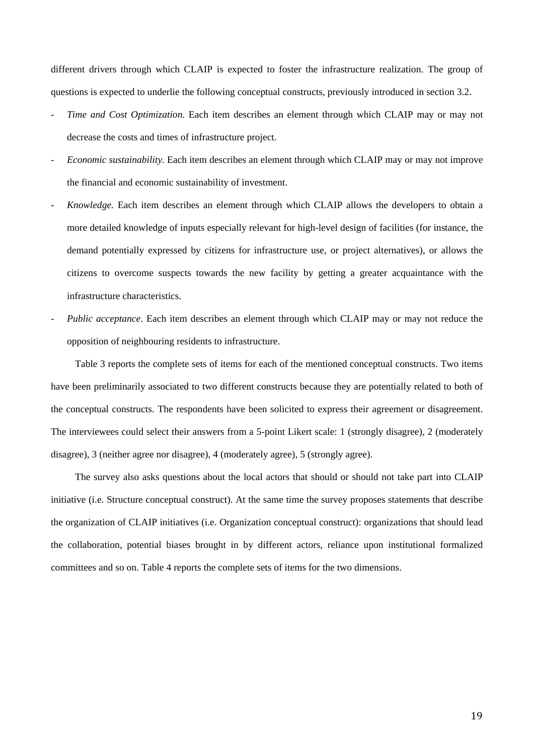different drivers through which CLAIP is expected to foster the infrastructure realization. The group of questions is expected to underlie the following conceptual constructs, previously introduced in section 3.2.

- *Time and Cost Optimization.* Each item describes an element through which CLAIP may or may not decrease the costs and times of infrastructure project.
- *Economic sustainability.* Each item describes an element through which CLAIP may or may not improve the financial and economic sustainability of investment.
- *Knowledge.* Each item describes an element through which CLAIP allows the developers to obtain a more detailed knowledge of inputs especially relevant for high-level design of facilities (for instance, the demand potentially expressed by citizens for infrastructure use, or project alternatives), or allows the citizens to overcome suspects towards the new facility by getting a greater acquaintance with the infrastructure characteristics.
- *Public acceptance*. Each item describes an element through which CLAIP may or may not reduce the opposition of neighbouring residents to infrastructure.

Table 3 reports the complete sets of items for each of the mentioned conceptual constructs. Two items have been preliminarily associated to two different constructs because they are potentially related to both of the conceptual constructs. The respondents have been solicited to express their agreement or disagreement. The interviewees could select their answers from a 5-point Likert scale: 1 (strongly disagree), 2 (moderately disagree), 3 (neither agree nor disagree), 4 (moderately agree), 5 (strongly agree).

The survey also asks questions about the local actors that should or should not take part into CLAIP initiative (i.e. Structure conceptual construct). At the same time the survey proposes statements that describe the organization of CLAIP initiatives (i.e. Organization conceptual construct): organizations that should lead the collaboration, potential biases brought in by different actors, reliance upon institutional formalized committees and so on. Table 4 reports the complete sets of items for the two dimensions.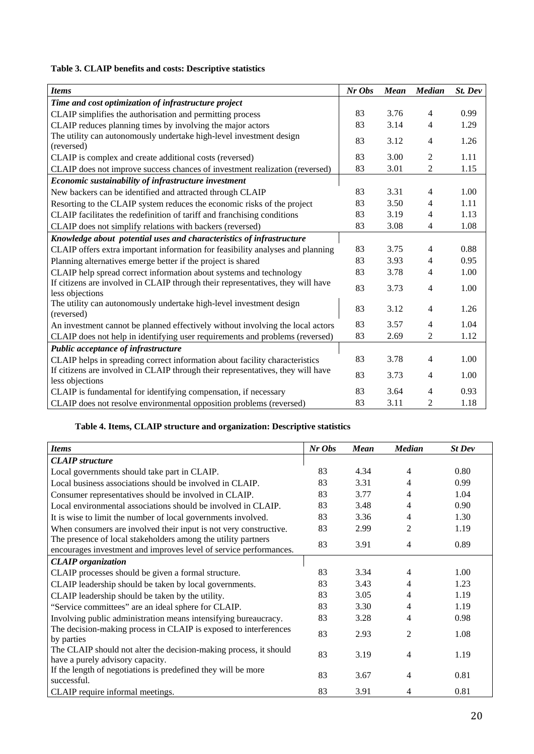# **Table 3. CLAIP benefits and costs: Descriptive statistics**

| <b>Items</b>                                                                                       | $Nr$ Obs | <b>Mean</b> | <b>Median</b>  | St. Dev |
|----------------------------------------------------------------------------------------------------|----------|-------------|----------------|---------|
| Time and cost optimization of infrastructure project                                               |          |             |                |         |
| CLAIP simplifies the authorisation and permitting process                                          | 83       | 3.76        | 4              | 0.99    |
| CLAIP reduces planning times by involving the major actors                                         | 83       | 3.14        | 4              | 1.29    |
| The utility can autonomously undertake high-level investment design<br>(reversed)                  | 83       | 3.12        | 4              | 1.26    |
| CLAIP is complex and create additional costs (reversed)                                            | 83       | 3.00        | 2              | 1.11    |
| CLAIP does not improve success chances of investment realization (reversed)                        | 83       | 3.01        | $\overline{c}$ | 1.15    |
| Economic sustainability of infrastructure investment                                               |          |             |                |         |
| New backers can be identified and attracted through CLAIP                                          | 83       | 3.31        | 4              | 1.00    |
| Resorting to the CLAIP system reduces the economic risks of the project                            | 83       | 3.50        | 4              | 1.11    |
| CLAIP facilitates the redefinition of tariff and franchising conditions                            | 83       | 3.19        | 4              | 1.13    |
| CLAIP does not simplify relations with backers (reversed)                                          | 83       | 3.08        | 4              | 1.08    |
| Knowledge about potential uses and characteristics of infrastructure                               |          |             |                |         |
| CLAIP offers extra important information for feasibility analyses and planning                     | 83       | 3.75        | 4              | 0.88    |
| Planning alternatives emerge better if the project is shared                                       | 83       | 3.93        | 4              | 0.95    |
| CLAIP help spread correct information about systems and technology                                 | 83       | 3.78        | 4              | 1.00    |
| If citizens are involved in CLAIP through their representatives, they will have<br>less objections | 83       | 3.73        | 4              | 1.00    |
| The utility can autonomously undertake high-level investment design<br>(reversed)                  | 83       | 3.12        | 4              | 1.26    |
| An investment cannot be planned effectively without involving the local actors                     | 83       | 3.57        | 4              | 1.04    |
| CLAIP does not help in identifying user requirements and problems (reversed)                       | 83       | 2.69        | 2              | 1.12    |
| Public acceptance of infrastructure                                                                |          |             |                |         |
| CLAIP helps in spreading correct information about facility characteristics                        | 83       | 3.78        | 4              | 1.00    |
| If citizens are involved in CLAIP through their representatives, they will have<br>less objections | 83       | 3.73        | 4              | 1.00    |
| CLAIP is fundamental for identifying compensation, if necessary                                    | 83       | 3.64        | 4              | 0.93    |
| CLAIP does not resolve environmental opposition problems (reversed)                                | 83       | 3.11        | 2              | 1.18    |

# **Table 4. Items, CLAIP structure and organization: Descriptive statistics**

| <b>Items</b>                                                                                                                       | Nr Obs | <b>Mean</b> | <b>Median</b>  | <b>St Dev</b> |
|------------------------------------------------------------------------------------------------------------------------------------|--------|-------------|----------------|---------------|
| <b>CLAIP</b> structure                                                                                                             |        |             |                |               |
| Local governments should take part in CLAIP.                                                                                       | 83     | 4.34        | 4              | 0.80          |
| Local business associations should be involved in CLAIP.                                                                           | 83     | 3.31        | 4              | 0.99          |
| Consumer representatives should be involved in CLAIP.                                                                              | 83     | 3.77        | 4              | 1.04          |
| Local environmental associations should be involved in CLAIP.                                                                      | 83     | 3.48        | 4              | 0.90          |
| It is wise to limit the number of local governments involved.                                                                      | 83     | 3.36        | 4              | 1.30          |
| When consumers are involved their input is not very constructive.                                                                  | 83     | 2.99        | 2              | 1.19          |
| The presence of local stakeholders among the utility partners<br>encourages investment and improves level of service performances. | 83     | 3.91        | $\overline{4}$ | 0.89          |
| <b>CLAIP</b> organization                                                                                                          |        |             |                |               |
| CLAIP processes should be given a formal structure.                                                                                | 83     | 3.34        | 4              | 1.00          |
| CLAIP leadership should be taken by local governments.                                                                             | 83     | 3.43        | 4              | 1.23          |
| CLAIP leadership should be taken by the utility.                                                                                   | 83     | 3.05        | 4              | 1.19          |
| "Service committees" are an ideal sphere for CLAIP.                                                                                | 83     | 3.30        | 4              | 1.19          |
| Involving public administration means intensifying bureaucracy.                                                                    | 83     | 3.28        | 4              | 0.98          |
| The decision-making process in CLAIP is exposed to interferences<br>by parties                                                     | 83     | 2.93        | $\mathfrak{D}$ | 1.08          |
| The CLAIP should not alter the decision-making process, it should<br>have a purely advisory capacity.                              | 83     | 3.19        | 4              | 1.19          |
| If the length of negotiations is predefined they will be more<br>successful.                                                       | 83     | 3.67        | 4              | 0.81          |
| CLAIP require informal meetings.                                                                                                   | 83     | 3.91        | 4              | 0.81          |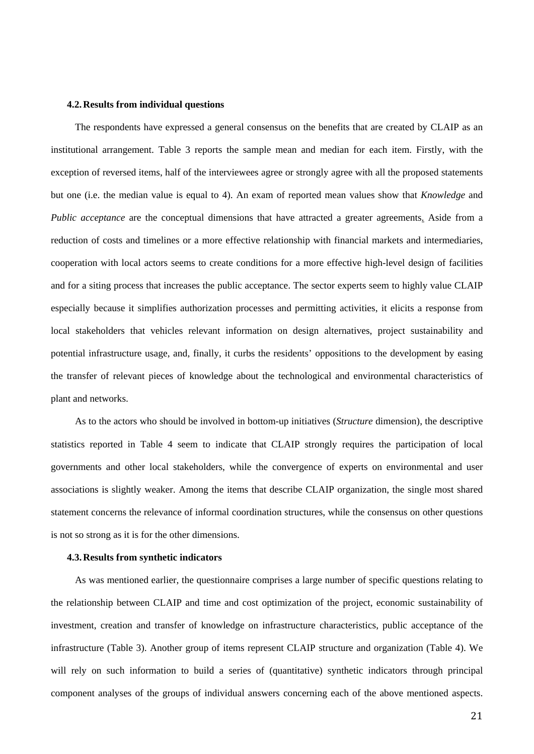## **4.2.Results from individual questions**

The respondents have expressed a general consensus on the benefits that are created by CLAIP as an institutional arrangement. Table 3 reports the sample mean and median for each item. Firstly, with the exception of reversed items, half of the interviewees agree or strongly agree with all the proposed statements but one (i.e. the median value is equal to 4). An exam of reported mean values show that *Knowledge* and *Public acceptance* are the conceptual dimensions that have attracted a greater agreements. Aside from a reduction of costs and timelines or a more effective relationship with financial markets and intermediaries, cooperation with local actors seems to create conditions for a more effective high-level design of facilities and for a siting process that increases the public acceptance. The sector experts seem to highly value CLAIP especially because it simplifies authorization processes and permitting activities, it elicits a response from local stakeholders that vehicles relevant information on design alternatives, project sustainability and potential infrastructure usage, and, finally, it curbs the residents' oppositions to the development by easing the transfer of relevant pieces of knowledge about the technological and environmental characteristics of plant and networks.

As to the actors who should be involved in bottom-up initiatives (*Structure* dimension), the descriptive statistics reported in Table 4 seem to indicate that CLAIP strongly requires the participation of local governments and other local stakeholders, while the convergence of experts on environmental and user associations is slightly weaker. Among the items that describe CLAIP organization, the single most shared statement concerns the relevance of informal coordination structures, while the consensus on other questions is not so strong as it is for the other dimensions.

#### **4.3.Results from synthetic indicators**

As was mentioned earlier, the questionnaire comprises a large number of specific questions relating to the relationship between CLAIP and time and cost optimization of the project, economic sustainability of investment, creation and transfer of knowledge on infrastructure characteristics, public acceptance of the infrastructure (Table 3). Another group of items represent CLAIP structure and organization (Table 4). We will rely on such information to build a series of (quantitative) synthetic indicators through principal component analyses of the groups of individual answers concerning each of the above mentioned aspects.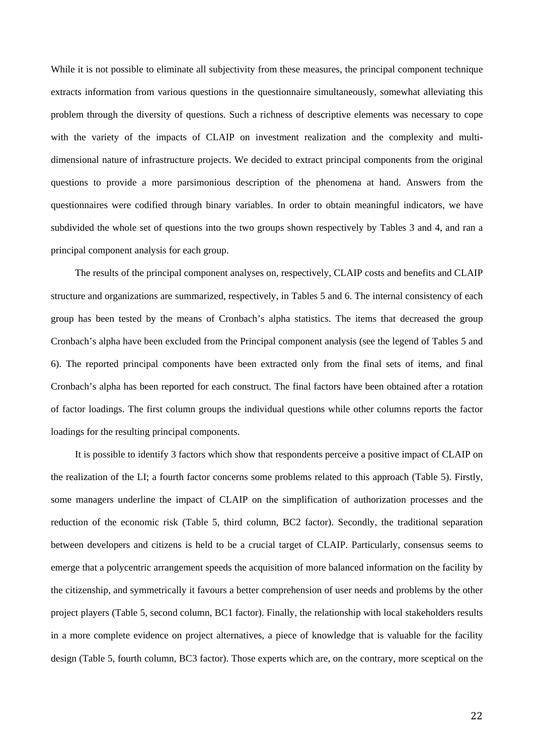While it is not possible to eliminate all subjectivity from these measures, the principal component technique extracts information from various questions in the questionnaire simultaneously, somewhat alleviating this problem through the diversity of questions. Such a richness of descriptive elements was necessary to cope with the variety of the impacts of CLAIP on investment realization and the complexity and multidimensional nature of infrastructure projects. We decided to extract principal components from the original questions to provide a more parsimonious description of the phenomena at hand. Answers from the questionnaires were codified through binary variables. In order to obtain meaningful indicators, we have subdivided the whole set of questions into the two groups shown respectively by Tables 3 and 4, and ran a principal component analysis for each group.

The results of the principal component analyses on, respectively, CLAIP costs and benefits and CLAIP structure and organizations are summarized, respectively, in Tables 5 and 6. The internal consistency of each group has been tested by the means of Cronbach's alpha statistics. The items that decreased the group Cronbach's alpha have been excluded from the Principal component analysis (see the legend of Tables 5 and 6). The reported principal components have been extracted only from the final sets of items, and final Cronbach's alpha has been reported for each construct. The final factors have been obtained after a rotation of factor loadings. The first column groups the individual questions while other columns reports the factor loadings for the resulting principal components.

It is possible to identify 3 factors which show that respondents perceive a positive impact of CLAIP on the realization of the LI; a fourth factor concerns some problems related to this approach (Table 5). Firstly, some managers underline the impact of CLAIP on the simplification of authorization processes and the reduction of the economic risk (Table 5, third column, BC2 factor). Secondly, the traditional separation between developers and citizens is held to be a crucial target of CLAIP. Particularly, consensus seems to emerge that a polycentric arrangement speeds the acquisition of more balanced information on the facility by the citizenship, and symmetrically it favours a better comprehension of user needs and problems by the other project players (Table 5, second column, BC1 factor). Finally, the relationship with local stakeholders results in a more complete evidence on project alternatives, a piece of knowledge that is valuable for the facility design (Table 5, fourth column, BC3 factor). Those experts which are, on the contrary, more sceptical on the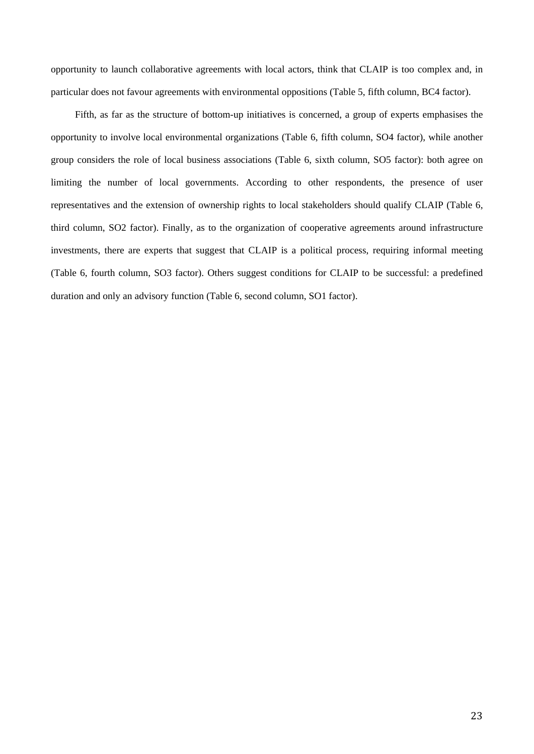opportunity to launch collaborative agreements with local actors, think that CLAIP is too complex and, in particular does not favour agreements with environmental oppositions (Table 5, fifth column, BC4 factor).

Fifth, as far as the structure of bottom-up initiatives is concerned, a group of experts emphasises the opportunity to involve local environmental organizations (Table 6, fifth column, SO4 factor), while another group considers the role of local business associations (Table 6, sixth column, SO5 factor): both agree on limiting the number of local governments. According to other respondents, the presence of user representatives and the extension of ownership rights to local stakeholders should qualify CLAIP (Table 6, third column, SO2 factor). Finally, as to the organization of cooperative agreements around infrastructure investments, there are experts that suggest that CLAIP is a political process, requiring informal meeting (Table 6, fourth column, SO3 factor). Others suggest conditions for CLAIP to be successful: a predefined duration and only an advisory function (Table 6, second column, SO1 factor).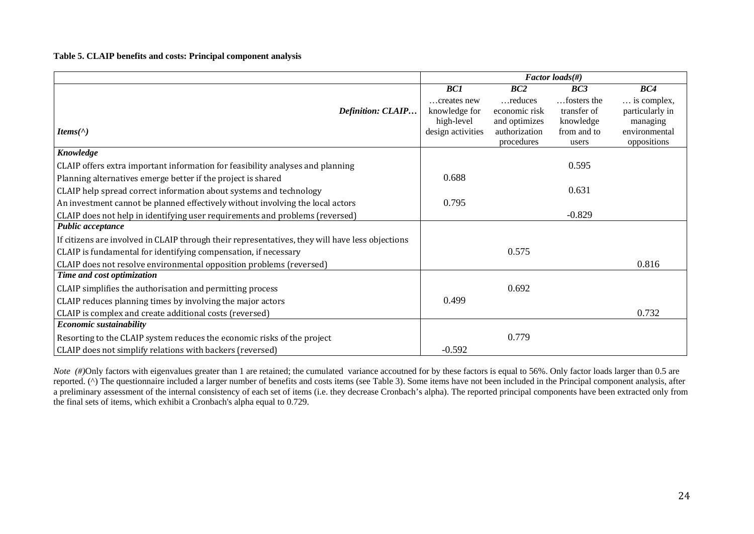**Table 5. CLAIP benefits and costs: Principal component analysis** 

|                                                                                                 |                   |               | Factor loads(#) |                 |
|-------------------------------------------------------------------------------------------------|-------------------|---------------|-----------------|-----------------|
|                                                                                                 | BC1               | BC2           | BC3             | BC4             |
|                                                                                                 | creates new       | reduces       | fosters the     | is complex,     |
| Definition: CLAIP                                                                               | knowledge for     | economic risk | transfer of     | particularly in |
|                                                                                                 | high-level        | and optimizes | knowledge       | managing        |
| Items( $\wedge$ )                                                                               | design activities | authorization | from and to     | environmental   |
|                                                                                                 |                   | procedures    | users           | oppositions     |
| Knowledge                                                                                       |                   |               |                 |                 |
| CLAIP offers extra important information for feasibility analyses and planning                  |                   |               | 0.595           |                 |
| Planning alternatives emerge better if the project is shared                                    | 0.688             |               |                 |                 |
| CLAIP help spread correct information about systems and technology                              |                   |               | 0.631           |                 |
| An investment cannot be planned effectively without involving the local actors                  | 0.795             |               |                 |                 |
| CLAIP does not help in identifying user requirements and problems (reversed)                    |                   |               | $-0.829$        |                 |
| Public acceptance                                                                               |                   |               |                 |                 |
| If citizens are involved in CLAIP through their representatives, they will have less objections |                   |               |                 |                 |
| CLAIP is fundamental for identifying compensation, if necessary                                 |                   | 0.575         |                 |                 |
| CLAIP does not resolve environmental opposition problems (reversed)                             |                   |               |                 | 0.816           |
| Time and cost optimization                                                                      |                   |               |                 |                 |
| CLAIP simplifies the authorisation and permitting process                                       |                   | 0.692         |                 |                 |
| CLAIP reduces planning times by involving the major actors                                      | 0.499             |               |                 |                 |
| CLAIP is complex and create additional costs (reversed)                                         |                   |               |                 | 0.732           |
| Economic sustainability                                                                         |                   |               |                 |                 |
| Resorting to the CLAIP system reduces the economic risks of the project                         |                   | 0.779         |                 |                 |
| CLAIP does not simplify relations with backers (reversed)                                       | $-0.592$          |               |                 |                 |

*Note* (#)Only factors with eigenvalues greater than 1 are retained; the cumulated variance accoutned for by these factors is equal to 56%. Only factor loads larger than 0.5 are reported. (^) The questionnaire included a larger number of benefits and costs items (see Table 3). Some items have not been included in the Principal component analysis, after a preliminary assessment of the internal consistency of each set of items (i.e. they decrease Cronbach's alpha). The reported principal components have been extracted only from the final sets of items, which exhibit a Cronbach's alpha equal to 0.729.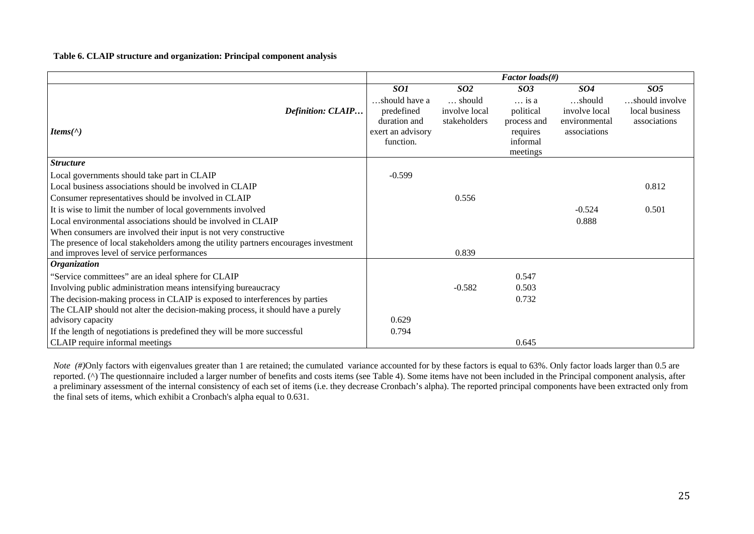**Table 6. CLAIP structure and organization: Principal component analysis** 

|                                                                                     |                                                                                      |                                                            | Factor loads $(\#)$                                                                              |                                                                        |                                                                     |
|-------------------------------------------------------------------------------------|--------------------------------------------------------------------------------------|------------------------------------------------------------|--------------------------------------------------------------------------------------------------|------------------------------------------------------------------------|---------------------------------------------------------------------|
| <b>Definition: CLAIP</b><br>Items( $\wedge$ )                                       | SO1<br>should have a<br>predefined<br>duration and<br>exert an advisory<br>function. | SO <sub>2</sub><br>should<br>involve local<br>stakeholders | SO <sub>3</sub><br>$\ldots$ is a<br>political<br>process and<br>requires<br>informal<br>meetings | <b>SO4</b><br>should<br>involve local<br>environmental<br>associations | SO <sub>5</sub><br>should involve<br>local business<br>associations |
| <b>Structure</b>                                                                    |                                                                                      |                                                            |                                                                                                  |                                                                        |                                                                     |
| Local governments should take part in CLAIP                                         | $-0.599$                                                                             |                                                            |                                                                                                  |                                                                        |                                                                     |
| Local business associations should be involved in CLAIP                             |                                                                                      |                                                            |                                                                                                  |                                                                        | 0.812                                                               |
| Consumer representatives should be involved in CLAIP                                |                                                                                      | 0.556                                                      |                                                                                                  |                                                                        |                                                                     |
| It is wise to limit the number of local governments involved                        |                                                                                      |                                                            |                                                                                                  | $-0.524$                                                               | 0.501                                                               |
| Local environmental associations should be involved in CLAIP                        |                                                                                      |                                                            |                                                                                                  | 0.888                                                                  |                                                                     |
| When consumers are involved their input is not very constructive                    |                                                                                      |                                                            |                                                                                                  |                                                                        |                                                                     |
| The presence of local stakeholders among the utility partners encourages investment |                                                                                      |                                                            |                                                                                                  |                                                                        |                                                                     |
| and improves level of service performances                                          |                                                                                      | 0.839                                                      |                                                                                                  |                                                                        |                                                                     |
| <b>Organization</b>                                                                 |                                                                                      |                                                            |                                                                                                  |                                                                        |                                                                     |
| "Service committees" are an ideal sphere for CLAIP                                  |                                                                                      |                                                            | 0.547                                                                                            |                                                                        |                                                                     |
| Involving public administration means intensifying bureaucracy                      |                                                                                      | $-0.582$                                                   | 0.503                                                                                            |                                                                        |                                                                     |
| The decision-making process in CLAIP is exposed to interferences by parties         |                                                                                      |                                                            | 0.732                                                                                            |                                                                        |                                                                     |
| The CLAIP should not alter the decision-making process, it should have a purely     |                                                                                      |                                                            |                                                                                                  |                                                                        |                                                                     |
| advisory capacity                                                                   | 0.629                                                                                |                                                            |                                                                                                  |                                                                        |                                                                     |
| If the length of negotiations is predefined they will be more successful            | 0.794                                                                                |                                                            |                                                                                                  |                                                                        |                                                                     |
| CLAIP require informal meetings                                                     |                                                                                      |                                                            | 0.645                                                                                            |                                                                        |                                                                     |

*Note* (#)Only factors with eigenvalues greater than 1 are retained; the cumulated variance accounted for by these factors is equal to 63%. Only factor loads larger than 0.5 are reported. (^) The questionnaire included a larger number of benefits and costs items (see Table 4). Some items have not been included in the Principal component analysis, after a preliminary assessment of the internal consistency of each set of items (i.e. they decrease Cronbach's alpha). The reported principal components have been extracted only from the final sets of items, which exhibit a Cronbach's alpha equal to 0.631.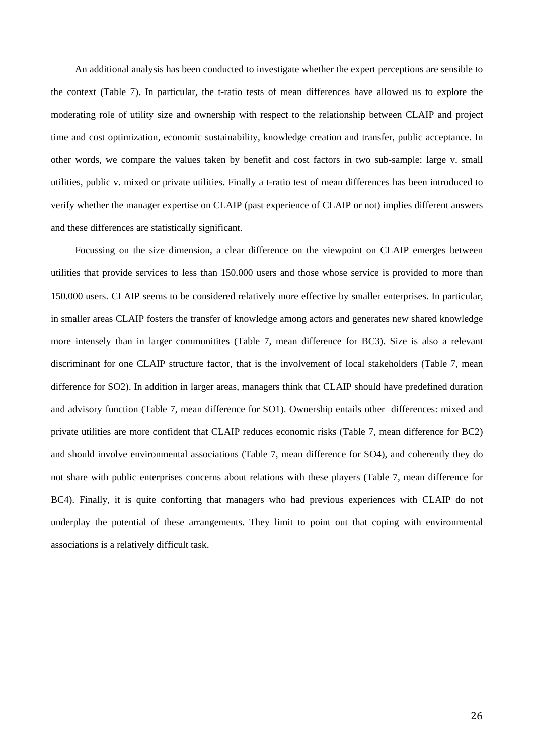An additional analysis has been conducted to investigate whether the expert perceptions are sensible to the context (Table 7). In particular, the t-ratio tests of mean differences have allowed us to explore the moderating role of utility size and ownership with respect to the relationship between CLAIP and project time and cost optimization, economic sustainability, knowledge creation and transfer, public acceptance. In other words, we compare the values taken by benefit and cost factors in two sub-sample: large v. small utilities, public v. mixed or private utilities. Finally a t-ratio test of mean differences has been introduced to verify whether the manager expertise on CLAIP (past experience of CLAIP or not) implies different answers and these differences are statistically significant.

Focussing on the size dimension, a clear difference on the viewpoint on CLAIP emerges between utilities that provide services to less than 150.000 users and those whose service is provided to more than 150.000 users. CLAIP seems to be considered relatively more effective by smaller enterprises. In particular, in smaller areas CLAIP fosters the transfer of knowledge among actors and generates new shared knowledge more intensely than in larger communitites (Table 7, mean difference for BC3). Size is also a relevant discriminant for one CLAIP structure factor, that is the involvement of local stakeholders (Table 7, mean difference for SO2). In addition in larger areas, managers think that CLAIP should have predefined duration and advisory function (Table 7, mean difference for SO1). Ownership entails other differences: mixed and private utilities are more confident that CLAIP reduces economic risks (Table 7, mean difference for BC2) and should involve environmental associations (Table 7, mean difference for SO4), and coherently they do not share with public enterprises concerns about relations with these players (Table 7, mean difference for BC4). Finally, it is quite conforting that managers who had previous experiences with CLAIP do not underplay the potential of these arrangements. They limit to point out that coping with environmental associations is a relatively difficult task.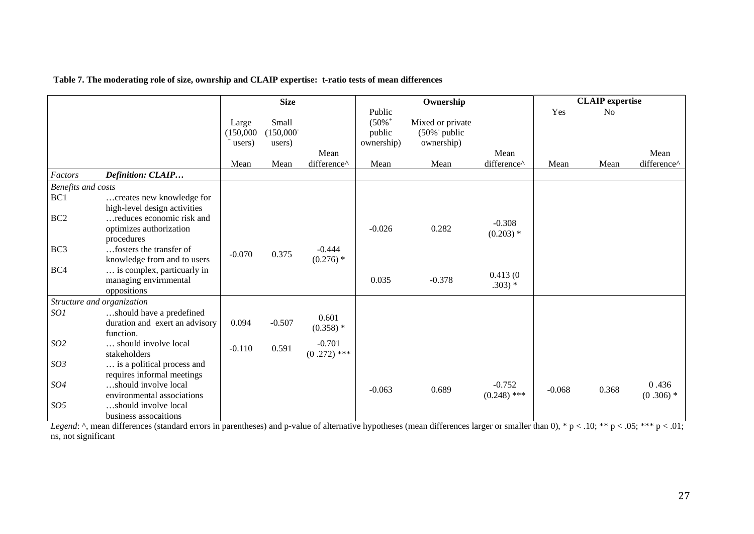|                           |                                                                                                    |                              | <b>Size</b>                  |                           |                                                        | Ownership                                                     |                           |          | <b>CLAIP</b> expertise |                      |
|---------------------------|----------------------------------------------------------------------------------------------------|------------------------------|------------------------------|---------------------------|--------------------------------------------------------|---------------------------------------------------------------|---------------------------|----------|------------------------|----------------------|
|                           |                                                                                                    | Large<br>(150,000)<br>users) | Small<br>(150,000)<br>users) |                           | Public<br>$(50\%$ <sup>+</sup><br>public<br>ownership) | Mixed or private<br>$(50\%$ <sup>-</sup> public<br>ownership) |                           | Yes      | N <sub>o</sub>         |                      |
|                           |                                                                                                    |                              | Mean                         | Mean<br>difference^       | Mean                                                   | Mean                                                          | Mean<br>difference^       |          | Mean                   | Mean<br>difference^  |
| Factors                   | Definition: CLAIP                                                                                  | Mean                         |                              |                           |                                                        |                                                               |                           | Mean     |                        |                      |
| <b>Benefits and costs</b> |                                                                                                    |                              |                              |                           |                                                        |                                                               |                           |          |                        |                      |
| BC1                       | creates new knowledge for                                                                          |                              |                              |                           |                                                        |                                                               |                           |          |                        |                      |
| BC <sub>2</sub>           | high-level design activities<br>reduces economic risk and<br>optimizes authorization<br>procedures |                              |                              |                           | $-0.026$                                               | 0.282                                                         | $-0.308$<br>$(0.203)$ *   |          |                        |                      |
| BC <sub>3</sub>           | fosters the transfer of<br>knowledge from and to users                                             | $-0.070$                     | 0.375                        | $-0.444$<br>$(0.276)$ *   |                                                        |                                                               |                           |          |                        |                      |
| BC4                       | is complex, particuarly in<br>managing envirnmental<br>oppositions                                 |                              |                              |                           | 0.035                                                  | $-0.378$                                                      | 0.413(0)<br>$.303)*$      |          |                        |                      |
|                           | Structure and organization                                                                         |                              |                              |                           |                                                        |                                                               |                           |          |                        |                      |
| SO1                       | should have a predefined<br>duration and exert an advisory<br>function.                            | 0.094                        | $-0.507$                     | 0.601<br>$(0.358)$ *      |                                                        |                                                               |                           |          |                        |                      |
| SO <sub>2</sub>           | should involve local<br>stakeholders                                                               | $-0.110$                     | 0.591                        | $-0.701$<br>$(0.272)$ *** |                                                        |                                                               |                           |          |                        |                      |
| SO <sub>3</sub>           | is a political process and<br>requires informal meetings                                           |                              |                              |                           |                                                        |                                                               |                           |          |                        |                      |
| SO <sub>4</sub>           | should involve local<br>environmental associations                                                 |                              |                              |                           | $-0.063$                                               | 0.689                                                         | $-0.752$<br>$(0.248)$ *** | $-0.068$ | 0.368                  | 0.436<br>$(0.306)$ * |
| SO <sub>5</sub>           | should involve local<br>business assocaitions                                                      |                              |                              |                           |                                                        |                                                               |                           |          |                        |                      |

*Legend*: ^, mean differences (standard errors in parentheses) and p-value of alternative hypotheses (mean differences larger or smaller than 0), \* p < .10; \*\* p < .05; \*\*\* p < .01; ns, not significant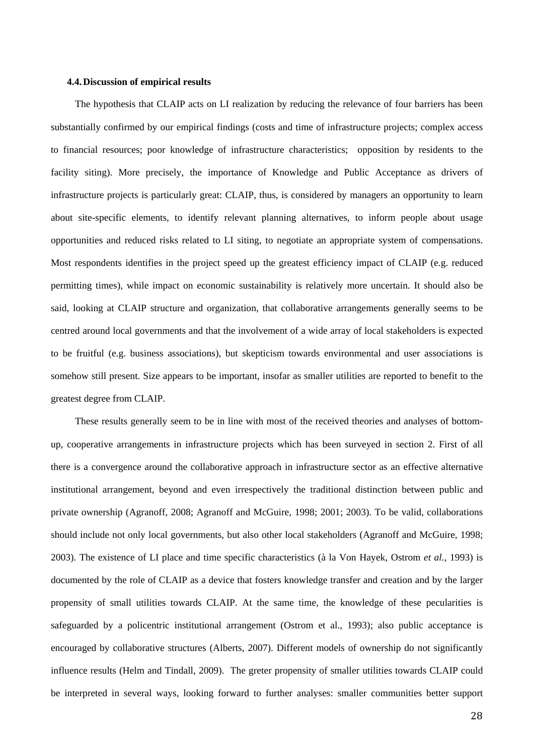## **4.4.Discussion of empirical results**

The hypothesis that CLAIP acts on LI realization by reducing the relevance of four barriers has been substantially confirmed by our empirical findings (costs and time of infrastructure projects; complex access to financial resources; poor knowledge of infrastructure characteristics; opposition by residents to the facility siting). More precisely, the importance of Knowledge and Public Acceptance as drivers of infrastructure projects is particularly great: CLAIP, thus, is considered by managers an opportunity to learn about site-specific elements, to identify relevant planning alternatives, to inform people about usage opportunities and reduced risks related to LI siting, to negotiate an appropriate system of compensations. Most respondents identifies in the project speed up the greatest efficiency impact of CLAIP (e.g. reduced permitting times), while impact on economic sustainability is relatively more uncertain. It should also be said, looking at CLAIP structure and organization, that collaborative arrangements generally seems to be centred around local governments and that the involvement of a wide array of local stakeholders is expected to be fruitful (e.g. business associations), but skepticism towards environmental and user associations is somehow still present. Size appears to be important, insofar as smaller utilities are reported to benefit to the greatest degree from CLAIP.

These results generally seem to be in line with most of the received theories and analyses of bottomup, cooperative arrangements in infrastructure projects which has been surveyed in section 2. First of all there is a convergence around the collaborative approach in infrastructure sector as an effective alternative institutional arrangement, beyond and even irrespectively the traditional distinction between public and private ownership (Agranoff, 2008; Agranoff and McGuire, 1998; 2001; 2003). To be valid, collaborations should include not only local governments, but also other local stakeholders (Agranoff and McGuire, 1998; 2003). The existence of LI place and time specific characteristics (à la Von Hayek, Ostrom *et al.*, 1993) is documented by the role of CLAIP as a device that fosters knowledge transfer and creation and by the larger propensity of small utilities towards CLAIP. At the same time, the knowledge of these pecularities is safeguarded by a policentric institutional arrangement (Ostrom et al., 1993); also public acceptance is encouraged by collaborative structures (Alberts, 2007). Different models of ownership do not significantly influence results (Helm and Tindall, 2009). The greter propensity of smaller utilities towards CLAIP could be interpreted in several ways, looking forward to further analyses: smaller communities better support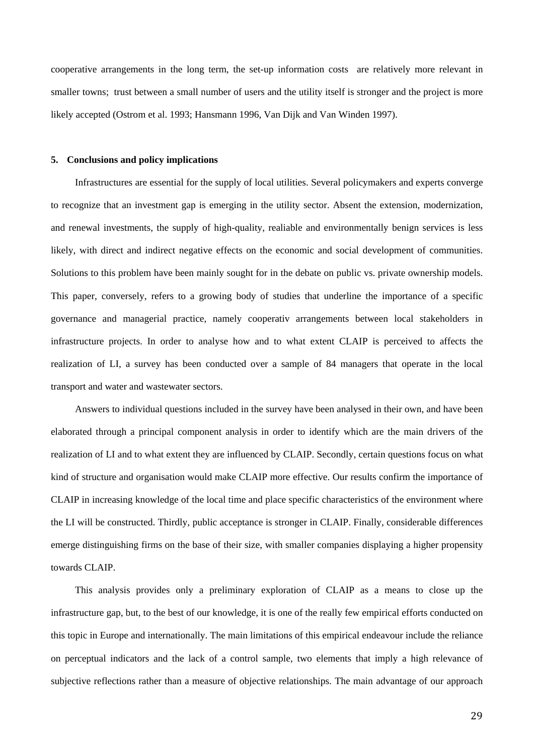cooperative arrangements in the long term, the set-up information costs are relatively more relevant in smaller towns; trust between a small number of users and the utility itself is stronger and the project is more likely accepted (Ostrom et al. 1993; Hansmann 1996, Van Dijk and Van Winden 1997).

#### **5. Conclusions and policy implications**

Infrastructures are essential for the supply of local utilities. Several policymakers and experts converge to recognize that an investment gap is emerging in the utility sector. Absent the extension, modernization, and renewal investments, the supply of high-quality, realiable and environmentally benign services is less likely, with direct and indirect negative effects on the economic and social development of communities. Solutions to this problem have been mainly sought for in the debate on public vs. private ownership models. This paper, conversely, refers to a growing body of studies that underline the importance of a specific governance and managerial practice, namely cooperativ arrangements between local stakeholders in infrastructure projects. In order to analyse how and to what extent CLAIP is perceived to affects the realization of LI, a survey has been conducted over a sample of 84 managers that operate in the local transport and water and wastewater sectors.

Answers to individual questions included in the survey have been analysed in their own, and have been elaborated through a principal component analysis in order to identify which are the main drivers of the realization of LI and to what extent they are influenced by CLAIP. Secondly, certain questions focus on what kind of structure and organisation would make CLAIP more effective. Our results confirm the importance of CLAIP in increasing knowledge of the local time and place specific characteristics of the environment where the LI will be constructed. Thirdly, public acceptance is stronger in CLAIP. Finally, considerable differences emerge distinguishing firms on the base of their size, with smaller companies displaying a higher propensity towards CLAIP.

This analysis provides only a preliminary exploration of CLAIP as a means to close up the infrastructure gap, but, to the best of our knowledge, it is one of the really few empirical efforts conducted on this topic in Europe and internationally. The main limitations of this empirical endeavour include the reliance on perceptual indicators and the lack of a control sample, two elements that imply a high relevance of subjective reflections rather than a measure of objective relationships. The main advantage of our approach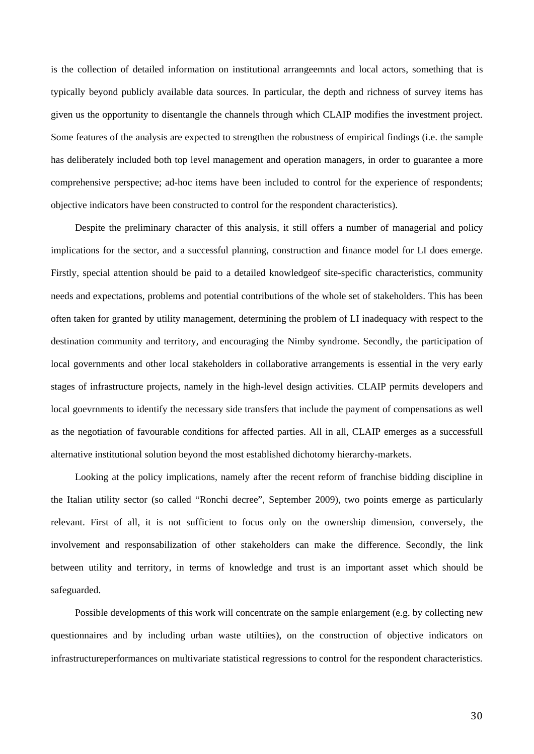is the collection of detailed information on institutional arrangeemnts and local actors, something that is typically beyond publicly available data sources. In particular, the depth and richness of survey items has given us the opportunity to disentangle the channels through which CLAIP modifies the investment project. Some features of the analysis are expected to strengthen the robustness of empirical findings (i.e. the sample has deliberately included both top level management and operation managers, in order to guarantee a more comprehensive perspective; ad-hoc items have been included to control for the experience of respondents; objective indicators have been constructed to control for the respondent characteristics).

Despite the preliminary character of this analysis, it still offers a number of managerial and policy implications for the sector, and a successful planning, construction and finance model for LI does emerge. Firstly, special attention should be paid to a detailed knowledgeof site-specific characteristics, community needs and expectations, problems and potential contributions of the whole set of stakeholders. This has been often taken for granted by utility management, determining the problem of LI inadequacy with respect to the destination community and territory, and encouraging the Nimby syndrome. Secondly, the participation of local governments and other local stakeholders in collaborative arrangements is essential in the very early stages of infrastructure projects, namely in the high-level design activities. CLAIP permits developers and local goevrnments to identify the necessary side transfers that include the payment of compensations as well as the negotiation of favourable conditions for affected parties. All in all, CLAIP emerges as a successfull alternative institutional solution beyond the most established dichotomy hierarchy-markets.

Looking at the policy implications, namely after the recent reform of franchise bidding discipline in the Italian utility sector (so called "Ronchi decree", September 2009), two points emerge as particularly relevant. First of all, it is not sufficient to focus only on the ownership dimension, conversely, the involvement and responsabilization of other stakeholders can make the difference. Secondly, the link between utility and territory, in terms of knowledge and trust is an important asset which should be safeguarded.

Possible developments of this work will concentrate on the sample enlargement (e.g. by collecting new questionnaires and by including urban waste utiltiies), on the construction of objective indicators on infrastructureperformances on multivariate statistical regressions to control for the respondent characteristics.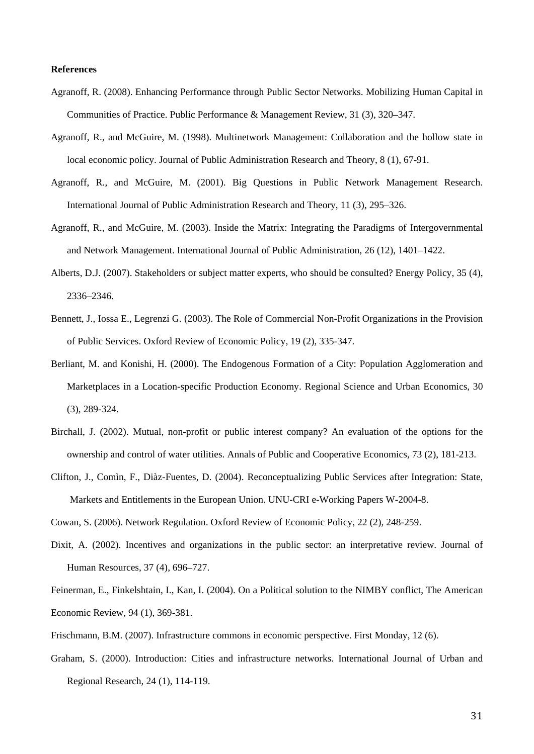## **References**

- Agranoff, R. (2008). Enhancing Performance through Public Sector Networks. Mobilizing Human Capital in Communities of Practice. Public Performance & Management Review, 31 (3), 320–347.
- Agranoff, R., and McGuire, M. (1998). Multinetwork Management: Collaboration and the hollow state in local economic policy. Journal of Public Administration Research and Theory, 8 (1), 67-91.
- Agranoff, R., and McGuire, M. (2001). Big Questions in Public Network Management Research. International Journal of Public Administration Research and Theory, 11 (3), 295–326.
- Agranoff, R., and McGuire, M. (2003). Inside the Matrix: Integrating the Paradigms of Intergovernmental and Network Management. International Journal of Public Administration, 26 (12), 1401–1422.
- Alberts, D.J. (2007). Stakeholders or subject matter experts, who should be consulted? Energy Policy, 35 (4), 2336–2346.
- Bennett, J., Iossa E., Legrenzi G. (2003). The Role of Commercial Non-Profit Organizations in the Provision of Public Services. Oxford Review of Economic Policy, 19 (2), 335-347.
- Berliant, M. and Konishi, H. (2000). The Endogenous Formation of a City: Population Agglomeration and Marketplaces in a Location-specific Production Economy. Regional Science and Urban Economics, 30 (3), 289-324.
- Birchall, J. (2002). Mutual, non-profit or public interest company? An evaluation of the options for the ownership and control of water utilities. Annals of Public and Cooperative Economics, 73 (2), 181-213.
- Clifton, J., Comìn, F., Diàz-Fuentes, D. (2004). Reconceptualizing Public Services after Integration: State, Markets and Entitlements in the European Union. UNU-CRI e-Working Papers W-2004-8.

Cowan, S. (2006). Network Regulation. Oxford Review of Economic Policy, 22 (2), 248-259.

- Dixit, A. (2002). Incentives and organizations in the public sector: an interpretative review. Journal of Human Resources, 37 (4), 696–727.
- Feinerman, E., Finkelshtain, I., Kan, I. (2004). On a Political solution to the NIMBY conflict, The American Economic Review, 94 (1), 369-381.
- Frischmann, B.M. (2007). Infrastructure commons in economic perspective. First Monday, 12 (6).
- Graham, S. (2000). Introduction: Cities and infrastructure networks. International Journal of Urban and Regional Research, 24 (1), 114-119.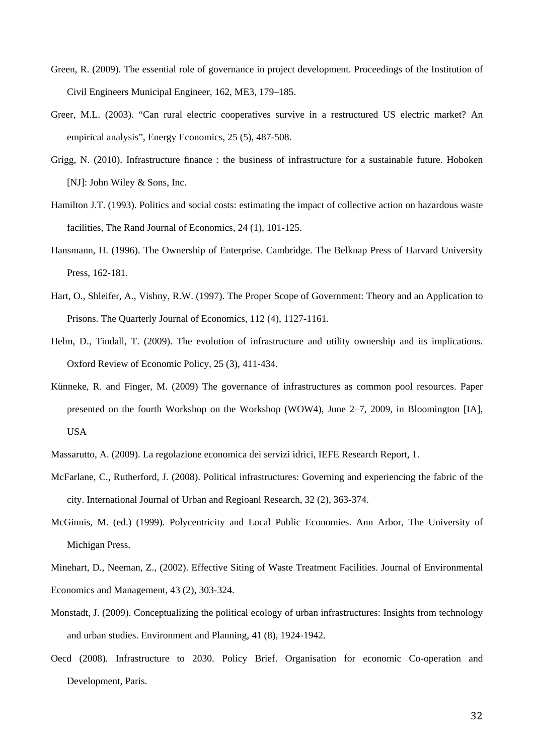- Green, R. (2009). The essential role of governance in project development. Proceedings of the Institution of Civil Engineers Municipal Engineer, 162, ME3, 179–185.
- Greer, M.L. (2003). "Can rural electric cooperatives survive in a restructured US electric market? An empirical analysis", Energy Economics, 25 (5), 487-508.
- Grigg, N. (2010). Infrastructure finance : the business of infrastructure for a sustainable future. Hoboken [NJ]: John Wiley & Sons, Inc.
- Hamilton J.T. (1993). Politics and social costs: estimating the impact of collective action on hazardous waste facilities, The Rand Journal of Economics, 24 (1), 101-125.
- Hansmann, H. (1996). The Ownership of Enterprise. Cambridge. The Belknap Press of Harvard University Press, 162-181.
- Hart, O., Shleifer, A., Vishny, R.W. (1997). The Proper Scope of Government: Theory and an Application to Prisons. The Quarterly Journal of Economics, 112 (4), 1127-1161.
- Helm, D., Tindall, T. (2009). The evolution of infrastructure and utility ownership and its implications. Oxford Review of Economic Policy*,* 25 (3), 411-434.
- Künneke, R. and Finger, M. (2009) The governance of infrastructures as common pool resources. Paper presented on the fourth Workshop on the Workshop (WOW4), June 2–7, 2009, in Bloomington [IA], USA
- Massarutto, A. (2009). La regolazione economica dei servizi idrici, IEFE Research Report*,* 1.
- McFarlane, C., Rutherford, J. (2008). Political infrastructures: Governing and experiencing the fabric of the city. International Journal of Urban and Regioanl Research, 32 (2), 363-374.
- McGinnis, M. (ed.) (1999). Polycentricity and Local Public Economies. Ann Arbor, The University of Michigan Press.
- Minehart, D., Neeman, Z., (2002). Effective Siting of Waste Treatment Facilities. Journal of Environmental Economics and Management, 43 (2), 303-324.
- Monstadt, J. (2009). Conceptualizing the political ecology of urban infrastructures: Insights from technology and urban studies. Environment and Planning, 41 (8), 1924-1942.
- Oecd (2008). Infrastructure to 2030. Policy Brief. Organisation for economic Co-operation and Development, Paris.